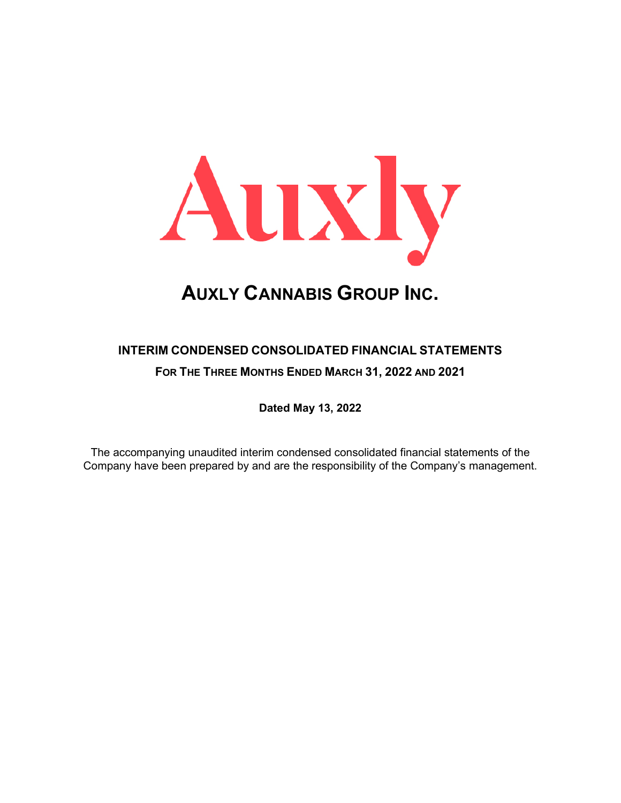

## **INTERIM CONDENSED CONSOLIDATED FINANCIAL STATEMENTS FOR THE THREE MONTHS ENDED MARCH 31, 2022 AND 2021**

**Dated May 13, 2022**

The accompanying unaudited interim condensed consolidated financial statements of the Company have been prepared by and are the responsibility of the Company's management.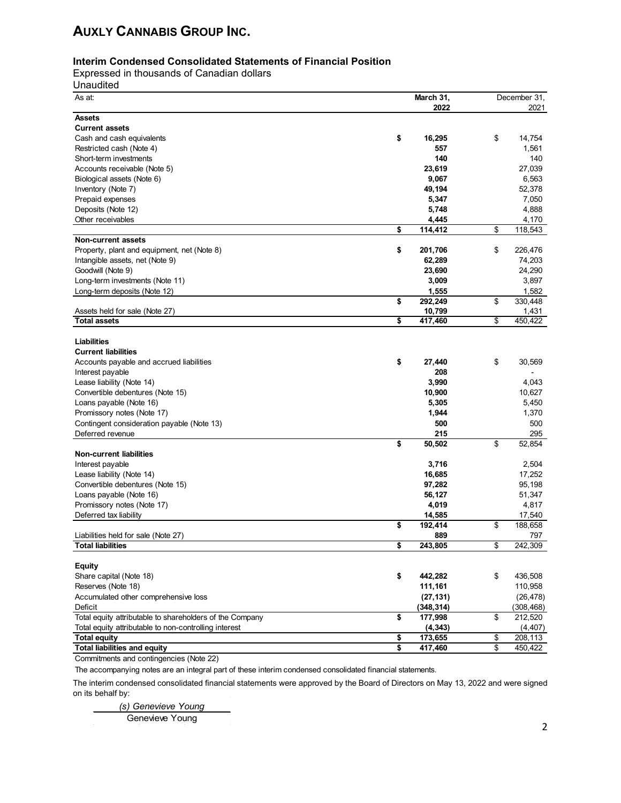#### **Interim Condensed Consolidated Statements of Financial Position**

Expressed in thousands of Canadian dollars

Unaudited

| As at:                                                   | March 31,     | December 31,     |
|----------------------------------------------------------|---------------|------------------|
|                                                          | 2022          | 2021             |
| <b>Assets</b>                                            |               |                  |
| <b>Current assets</b>                                    |               |                  |
| Cash and cash equivalents                                | \$<br>16,295  | \$<br>14,754     |
| Restricted cash (Note 4)                                 | 557           | 1,561            |
| Short-term investments                                   | 140           | 140              |
| Accounts receivable (Note 5)                             | 23,619        | 27,039           |
| Biological assets (Note 6)                               | 9,067         | 6,563            |
| Inventory (Note 7)                                       | 49,194        | 52,378           |
| Prepaid expenses                                         | 5,347         | 7,050            |
| Deposits (Note 12)                                       | 5,748         | 4,888            |
| Other receivables                                        | 4,445         | 4,170            |
|                                                          | \$<br>114,412 | \$<br>118,543    |
| Non-current assets                                       |               |                  |
| Property, plant and equipment, net (Note 8)              | \$<br>201,706 | \$<br>226,476    |
|                                                          |               |                  |
| Intangible assets, net (Note 9)                          | 62,289        | 74,203<br>24,290 |
| Goodwill (Note 9)                                        | 23,690        |                  |
| Long-term investments (Note 11)                          | 3,009         | 3,897            |
| Long-term deposits (Note 12)                             | 1,555         | 1,582            |
|                                                          | \$<br>292,249 | \$<br>330,448    |
| Assets held for sale (Note 27)                           | 10,799        | 1,431            |
| <b>Total assets</b>                                      | \$<br>417,460 | \$<br>450,422    |
|                                                          |               |                  |
| Liabilities                                              |               |                  |
| <b>Current liabilities</b>                               |               |                  |
| Accounts payable and accrued liabilities                 | \$<br>27,440  | \$<br>30,569     |
| Interest payable                                         | 208           |                  |
| Lease liability (Note 14)                                | 3,990         | 4.043            |
| Convertible debentures (Note 15)                         | 10,900        | 10,627           |
| Loans payable (Note 16)                                  | 5,305         | 5,450            |
| Promissory notes (Note 17)                               | 1,944         | 1,370            |
| Contingent consideration payable (Note 13)               | 500           | 500              |
| Deferred revenue                                         | 215           | 295              |
|                                                          | \$<br>50,502  | \$<br>52,854     |
| <b>Non-current liabilities</b>                           |               |                  |
| Interest payable                                         | 3,716         | 2,504            |
| Lease liability (Note 14)                                | 16,685        | 17,252           |
| Convertible debentures (Note 15)                         | 97,282        | 95,198           |
|                                                          |               |                  |
| Loans payable (Note 16)<br>Promissory notes (Note 17)    | 56,127        | 51,347           |
|                                                          | 4,019         | 4,817            |
| Deferred tax liability                                   | 14,585        | 17,540           |
|                                                          | \$<br>192,414 | \$<br>188,658    |
| Liabilities held for sale (Note 27)                      | 889           | 797              |
| <b>Total liabilities</b>                                 | \$<br>243,805 | \$<br>242,309    |
|                                                          |               |                  |
| <b>Equity</b>                                            |               |                  |
| Share capital (Note 18)                                  | \$<br>442,282 | \$<br>436,508    |
| Reserves (Note 18)                                       | 111,161       | 110,958          |
| Accumulated other comprehensive loss                     | (27, 131)     | (26, 478)        |
| Deficit                                                  | (348, 314)    | (308, 468)       |
| Total equity attributable to shareholders of the Company | \$<br>177,998 | \$<br>212,520    |
| Total equity attributable to non-controlling interest    | (4, 343)      | (4, 407)         |
| <b>Total equity</b>                                      | \$<br>173,655 | \$<br>208,113    |
| <b>Total liabilities and equity</b>                      | \$<br>417,460 | \$<br>450,422    |

Commitments and contingencies (Note 22)

The accompanying notes are an integral part of these interim condensed consolidated financial statements.

The interim condensed consolidated financial statements were approved by the Board of Directors on May 13, 2022 and were signed on its behalf by:

 *(s) Genevieve Young*

Genevieve Young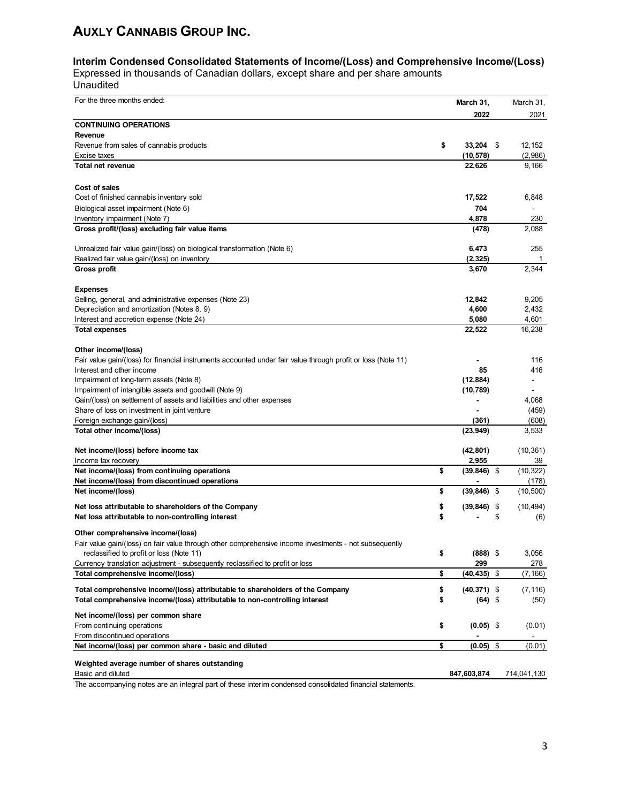### **Interim Condensed Consolidated Statements of Income/(Loss) and Comprehensive Income/(Loss)**

Expressed in thousands of Canadian dollars, except share and per share amounts

Unaudited

| For the three months ended:                                                                                               | March 31,               | March 31,                |
|---------------------------------------------------------------------------------------------------------------------------|-------------------------|--------------------------|
|                                                                                                                           | 2022                    | 2021                     |
| <b>CONTINUING OPERATIONS</b>                                                                                              |                         |                          |
| Revenue                                                                                                                   |                         |                          |
| Revenue from sales of cannabis products                                                                                   | \$<br>$33,204$ \$       | 12,152                   |
| Excise taxes                                                                                                              | (10,578)                | (2,986)                  |
| <b>Total net revenue</b>                                                                                                  | 22,626                  | 9,166                    |
|                                                                                                                           |                         |                          |
| Cost of sales<br>Cost of finished cannabis inventory sold                                                                 |                         | 6,848                    |
|                                                                                                                           | 17,522<br>704           | $\overline{\phantom{a}}$ |
| Biological asset impairment (Note 6)<br>Inventory impairment (Note 7)                                                     | 4,878                   | 230                      |
| Gross profit/(loss) excluding fair value items                                                                            | (478)                   | 2,088                    |
|                                                                                                                           |                         |                          |
| Unrealized fair value gain/(loss) on biological transformation (Note 6)                                                   | 6,473                   | 255                      |
| Realized fair value gain/(loss) on inventory                                                                              | (2, 325)                | $\mathbf 1$              |
| Gross profit                                                                                                              | 3,670                   | 2,344                    |
|                                                                                                                           |                         |                          |
| <b>Expenses</b>                                                                                                           |                         |                          |
| Selling, general, and administrative expenses (Note 23)                                                                   | 12,842                  | 9,205                    |
| Depreciation and amortization (Notes 8, 9)                                                                                | 4,600                   | 2,432                    |
| Interest and accretion expense (Note 24)                                                                                  | 5,080                   | 4,601                    |
| <b>Total expenses</b>                                                                                                     | 22,522                  | 16,238                   |
| Other income/(loss)                                                                                                       |                         |                          |
| Fair value gain/(loss) for financial instruments accounted under fair value through profit or loss (Note 11)              |                         | 116                      |
| Interest and other income                                                                                                 | 85                      | 416                      |
| Impairment of long-term assets (Note 8)                                                                                   | (12, 884)               |                          |
| Impairment of intangible assets and goodwill (Note 9)                                                                     | (10, 789)               | $\blacksquare$           |
| Gain/(loss) on settlement of assets and liabilities and other expenses                                                    |                         | 4,068                    |
| Share of loss on investment in joint venture                                                                              |                         | (459)                    |
| Foreign exchange gain/(loss)                                                                                              | (361)                   | (608)                    |
| Total other income/(loss)                                                                                                 | (23, 949)               | 3,533                    |
| Net income/(loss) before income tax                                                                                       | (42, 801)               | (10, 361)                |
| Income tax recovery                                                                                                       | 2,955                   | 39                       |
| Net income/(loss) from continuing operations                                                                              | \$<br>$(39, 846)$ \$    | (10, 322)                |
| Net income/(loss) from discontinued operations                                                                            |                         | (178)                    |
| Net income/(loss)                                                                                                         | \$<br>$(39, 846)$ \$    | (10, 500)                |
| Net loss attributable to shareholders of the Company                                                                      | \$<br>$(39, 846)$ \$    | (10, 494)                |
| Net loss attributable to non-controlling interest                                                                         | \$                      | \$<br>(6)                |
|                                                                                                                           |                         |                          |
| Other comprehensive income/(loss)                                                                                         |                         |                          |
| Fair value gain/(loss) on fair value through other comprehensive income investments - not subsequently                    |                         |                          |
| reclassified to profit or loss (Note 11)<br>Currency translation adjustment - subsequently reclassified to profit or loss | \$<br>$(888)$ \$<br>299 | 3,056<br>278             |
| Total comprehensive income/(loss)                                                                                         | \$<br>$(40, 435)$ \$    | (7, 166)                 |
|                                                                                                                           |                         |                          |
| Total comprehensive income/(loss) attributable to shareholders of the Company                                             | \$<br>$(40, 371)$ \$    | (7, 116)                 |
| Total comprehensive income/(loss) attributable to non-controlling interest                                                | \$<br>(64) \$           | (50)                     |
| Net income/(loss) per common share                                                                                        |                         |                          |
| From continuing operations                                                                                                | \$<br>$(0.05)$ \$       | (0.01)                   |
| From discontinued operations                                                                                              |                         |                          |
| Net income/(loss) per common share - basic and diluted                                                                    | \$<br>$(0.05)$ \$       | (0.01)                   |
| Weighted average number of shares outstanding                                                                             |                         |                          |
| Basic and diluted                                                                                                         | 847,603,874             | 714,041,130              |
|                                                                                                                           |                         |                          |

The accompanying notes are an integral part of these interim condensed consolidated financial statements.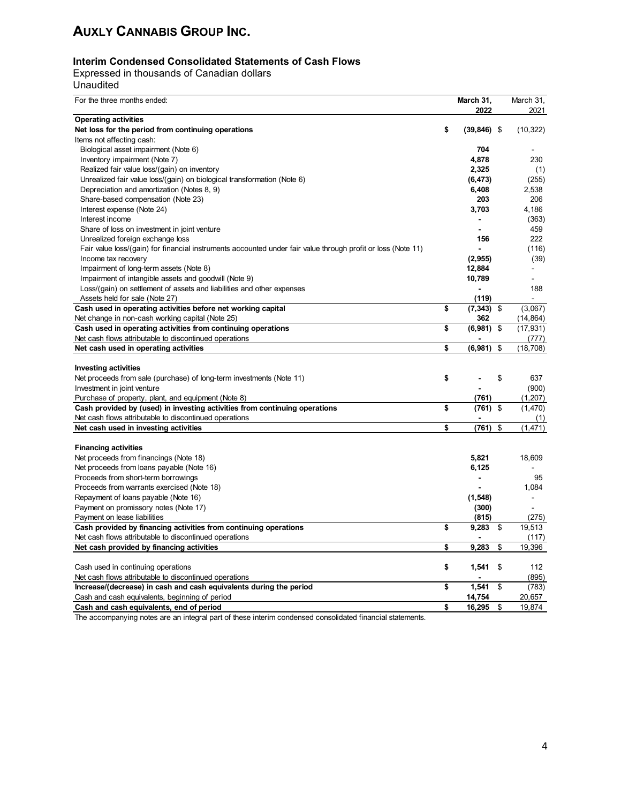#### **Interim Condensed Consolidated Statements of Cash Flows**

Expressed in thousands of Canadian dollars Unaudited

| For the three months ended:                                                                                  | March 31,            | March 31,       |
|--------------------------------------------------------------------------------------------------------------|----------------------|-----------------|
|                                                                                                              | 2022                 | 2021            |
| <b>Operating activities</b>                                                                                  |                      |                 |
| Net loss for the period from continuing operations                                                           | \$<br>$(39, 846)$ \$ | (10, 322)       |
| Items not affecting cash:                                                                                    |                      |                 |
| Biological asset impairment (Note 6)                                                                         | 704                  |                 |
| Inventory impairment (Note 7)                                                                                | 4,878                | 230             |
| Realized fair value loss/(gain) on inventory                                                                 | 2,325                | (1)             |
| Unrealized fair value loss/(gain) on biological transformation (Note 6)                                      | (6, 473)             | (255)           |
| Depreciation and amortization (Notes 8, 9)                                                                   | 6,408                | 2,538           |
| Share-based compensation (Note 23)                                                                           | 203                  | 206             |
| Interest expense (Note 24)                                                                                   | 3,703                | 4,186           |
| Interest income                                                                                              |                      | (363)           |
| Share of loss on investment in joint venture                                                                 |                      | 459             |
| Unrealized foreign exchange loss                                                                             | 156                  | 222             |
| Fair value loss/(gain) for financial instruments accounted under fair value through profit or loss (Note 11) |                      | (116)           |
| Income tax recovery                                                                                          | (2, 955)             | (39)            |
| Impairment of long-term assets (Note 8)                                                                      | 12,884               |                 |
| Impairment of intangible assets and goodwill (Note 9)                                                        | 10,789               | ÷,              |
| Loss/(gain) on settlement of assets and liabilities and other expenses                                       |                      | 188             |
| Assets held for sale (Note 27)                                                                               | (119)                |                 |
| Cash used in operating activities before net working capital                                                 | \$<br>(7, 343)       | \$<br>(3,067)   |
| Net change in non-cash working capital (Note 25)                                                             | 362                  | (14, 864)       |
| Cash used in operating activities from continuing operations                                                 | \$<br>(6,981)        | \$<br>(17, 931) |
| Net cash flows attributable to discontinued operations                                                       |                      | (777)           |
| Net cash used in operating activities                                                                        | \$<br>(6,981)        | \$<br>(18, 708) |
|                                                                                                              |                      |                 |
| <b>Investing activities</b>                                                                                  |                      |                 |
| Net proceeds from sale (purchase) of long-term investments (Note 11)                                         | \$                   | \$<br>637       |
| Investment in joint venture                                                                                  |                      | (900)           |
| Purchase of property, plant, and equipment (Note 8)                                                          | (761)                | (1,207)         |
| Cash provided by (used) in investing activities from continuing operations                                   | \$<br>$(761)$ \$     | (1,470)         |
| Net cash flows attributable to discontinued operations                                                       |                      | (1)             |
| Net cash used in investing activities                                                                        | \$<br>(761)          | \$<br>(1, 471)  |
|                                                                                                              |                      |                 |
| <b>Financing activities</b><br>Net proceeds from financings (Note 18)                                        | 5,821                | 18,609          |
| Net proceeds from loans payable (Note 16)                                                                    | 6,125                |                 |
| Proceeds from short-term borrowings                                                                          | $\overline{a}$       | 95              |
| Proceeds from warrants exercised (Note 18)                                                                   |                      | 1,084           |
| Repayment of loans payable (Note 16)                                                                         | (1, 548)             | $\blacksquare$  |
| Payment on promissory notes (Note 17)                                                                        | (300)                |                 |
| Payment on lease liabilities                                                                                 | (815)                | (275)           |
| Cash provided by financing activities from continuing operations                                             | \$<br>9,283          | \$<br>19,513    |
| Net cash flows attributable to discontinued operations                                                       |                      | (117)           |
| Net cash provided by financing activities                                                                    | \$<br>9,283          | \$<br>19,396    |
|                                                                                                              |                      |                 |
| Cash used in continuing operations                                                                           | \$<br>1,541          | \$<br>112       |
| Net cash flows attributable to discontinued operations                                                       |                      | (895)           |
| Increase/(decrease) in cash and cash equivalents during the period                                           | \$<br>1,541          | \$<br>(783)     |
| Cash and cash equivalents, beginning of period                                                               | 14,754               | 20,657          |
| Cash and cash equivalents, end of period                                                                     | \$<br>16,295         | \$<br>19,874    |

The accompanying notes are an integral part of these interim condensed consolidated financial statements.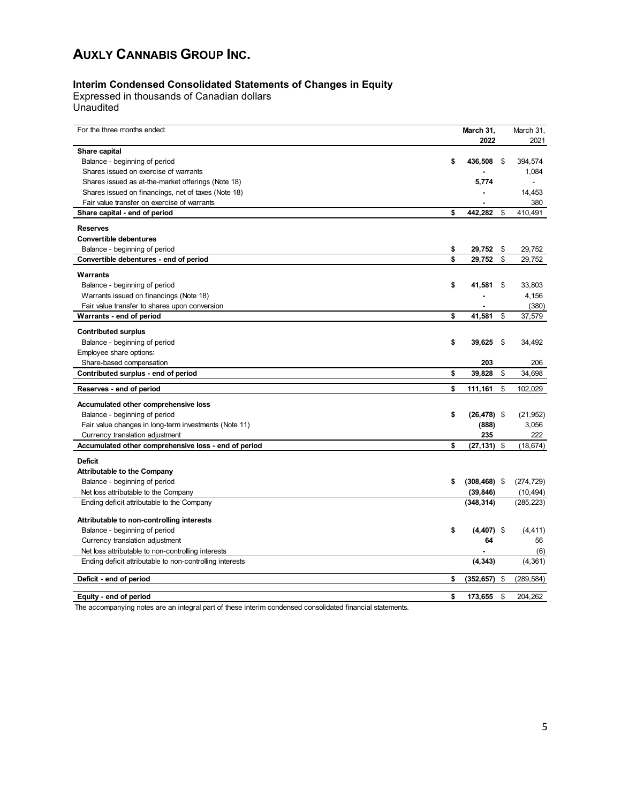#### **Interim Condensed Consolidated Statements of Changes in Equity**

Expressed in thousands of Canadian dollars Unaudited

| For the three months ended:                              | March 31,<br>2022     | March 31,<br>2021 |
|----------------------------------------------------------|-----------------------|-------------------|
| Share capital                                            |                       |                   |
| Balance - beginning of period                            | \$<br>436,508         | \$<br>394,574     |
| Shares issued on exercise of warrants                    |                       | 1,084             |
| Shares issued as at-the-market offerings (Note 18)       | 5,774                 |                   |
| Shares issued on financings, net of taxes (Note 18)      |                       | 14,453            |
| Fair value transfer on exercise of warrants              |                       | 380               |
| Share capital - end of period                            | \$<br>442,282         | \$<br>410,491     |
| <b>Reserves</b>                                          |                       |                   |
| <b>Convertible debentures</b>                            |                       |                   |
| Balance - beginning of period                            | \$<br>29,752          | \$<br>29,752      |
| Convertible debentures - end of period                   | \$<br>29.752          | \$<br>29,752      |
| Warrants                                                 |                       |                   |
| Balance - beginning of period                            | \$<br>41,581          | \$<br>33,803      |
| Warrants issued on financings (Note 18)                  |                       | 4,156             |
| Fair value transfer to shares upon conversion            |                       | (380)             |
| Warrants - end of period                                 | \$<br>41,581          | \$<br>37,579      |
| <b>Contributed surplus</b>                               |                       |                   |
| Balance - beginning of period                            | \$<br>39,625          | \$<br>34,492      |
| Employee share options:                                  |                       |                   |
| Share-based compensation                                 | 203                   | 206               |
| Contributed surplus - end of period                      | \$<br>39,828          | \$<br>34,698      |
| Reserves - end of period                                 | \$<br>111,161         | \$<br>102,029     |
| Accumulated other comprehensive loss                     |                       |                   |
| Balance - beginning of period                            | \$<br>$(26, 478)$ \$  | (21, 952)         |
| Fair value changes in long-term investments (Note 11)    | (888)                 | 3,056             |
| Currency translation adjustment                          | 235                   | 222               |
| Accumulated other comprehensive loss - end of period     | \$<br>$(27, 131)$ \$  | (18, 674)         |
| <b>Deficit</b>                                           |                       |                   |
| <b>Attributable to the Company</b>                       |                       |                   |
| Balance - beginning of period                            | \$<br>$(308, 468)$ \$ | (274, 729)        |
| Net loss attributable to the Company                     | (39, 846)             | (10, 494)         |
| Ending deficit attributable to the Company               | (348, 314)            | (285, 223)        |
| Attributable to non-controlling interests                |                       |                   |
| Balance - beginning of period                            | \$<br>$(4,407)$ \$    | (4, 411)          |
| Currency translation adjustment                          | 64                    | 56                |
| Net loss attributable to non-controlling interests       |                       | (6)               |
| Ending deficit attributable to non-controlling interests | (4, 343)              | (4, 361)          |
| Deficit - end of period                                  | \$<br>(352, 657)      | \$<br>(289, 584)  |
|                                                          |                       |                   |
| Equity - end of period                                   | \$<br>173.655         | \$<br>204.262     |

The accompanying notes are an integral part of these interim condensed consolidated financial statements.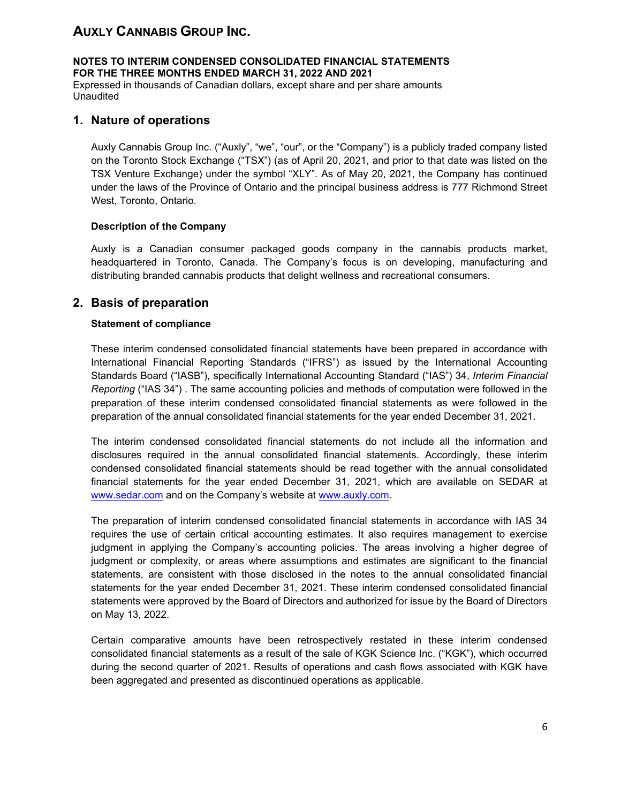**NOTES TO INTERIM CONDENSED CONSOLIDATED FINANCIAL STATEMENTS FOR THE THREE MONTHS ENDED MARCH 31, 2022 AND 2021** Expressed in thousands of Canadian dollars, except share and per share amounts Unaudited

### **1. Nature of operations**

Auxly Cannabis Group Inc. ("Auxly", "we", "our", or the "Company") is a publicly traded company listed on the Toronto Stock Exchange ("TSX") (as of April 20, 2021, and prior to that date was listed on the TSX Venture Exchange) under the symbol "XLY". As of May 20, 2021, the Company has continued under the laws of the Province of Ontario and the principal business address is 777 Richmond Street West, Toronto, Ontario.

### **Description of the Company**

Auxly is a Canadian consumer packaged goods company in the cannabis products market, headquartered in Toronto, Canada. The Company's focus is on developing, manufacturing and distributing branded cannabis products that delight wellness and recreational consumers.

## **2. Basis of preparation**

### **Statement of compliance**

These interim condensed consolidated financial statements have been prepared in accordance with International Financial Reporting Standards ("IFRS") as issued by the International Accounting Standards Board ("IASB"), specifically International Accounting Standard ("IAS") 34, *Interim Financial Reporting* ("IAS 34") . The same accounting policies and methods of computation were followed in the preparation of these interim condensed consolidated financial statements as were followed in the preparation of the annual consolidated financial statements for the year ended December 31, 2021.

The interim condensed consolidated financial statements do not include all the information and disclosures required in the annual consolidated financial statements. Accordingly, these interim condensed consolidated financial statements should be read together with the annual consolidated financial statements for the year ended December 31, 2021, which are available on SEDAR at [www.sedar.com](http://www.sedar.com/) and on the Company's website at [www.auxly.com.](http://www.auxly.com/)

The preparation of interim condensed consolidated financial statements in accordance with IAS 34 requires the use of certain critical accounting estimates. It also requires management to exercise judgment in applying the Company's accounting policies. The areas involving a higher degree of judgment or complexity, or areas where assumptions and estimates are significant to the financial statements, are consistent with those disclosed in the notes to the annual consolidated financial statements for the year ended December 31, 2021. These interim condensed consolidated financial statements were approved by the Board of Directors and authorized for issue by the Board of Directors on May 13, 2022.

Certain comparative amounts have been retrospectively restated in these interim condensed consolidated financial statements as a result of the sale of KGK Science Inc. ("KGK"), which occurred during the second quarter of 2021. Results of operations and cash flows associated with KGK have been aggregated and presented as discontinued operations as applicable.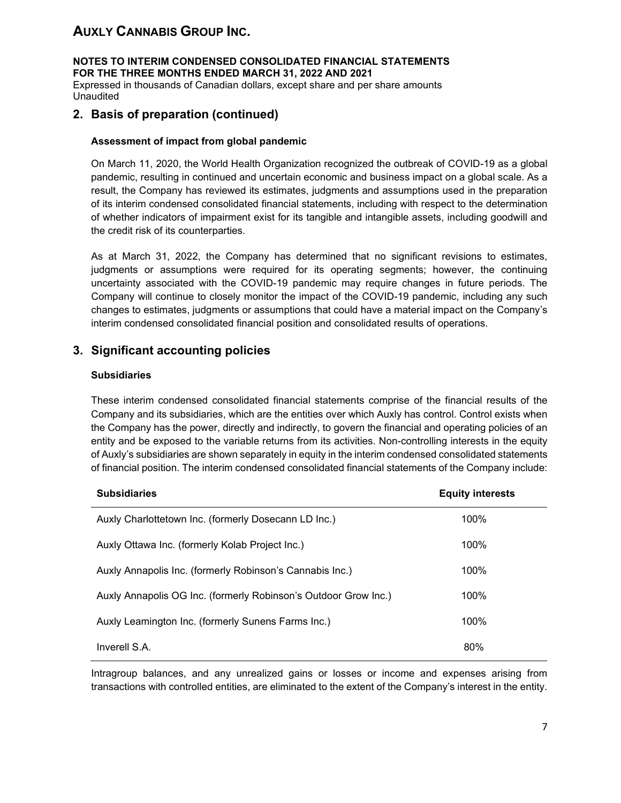**NOTES TO INTERIM CONDENSED CONSOLIDATED FINANCIAL STATEMENTS FOR THE THREE MONTHS ENDED MARCH 31, 2022 AND 2021**

Expressed in thousands of Canadian dollars, except share and per share amounts Unaudited

## **2. Basis of preparation (continued)**

#### **Assessment of impact from global pandemic**

On March 11, 2020, the World Health Organization recognized the outbreak of COVID-19 as a global pandemic, resulting in continued and uncertain economic and business impact on a global scale. As a result, the Company has reviewed its estimates, judgments and assumptions used in the preparation of its interim condensed consolidated financial statements, including with respect to the determination of whether indicators of impairment exist for its tangible and intangible assets, including goodwill and the credit risk of its counterparties.

As at March 31, 2022, the Company has determined that no significant revisions to estimates, judgments or assumptions were required for its operating segments; however, the continuing uncertainty associated with the COVID-19 pandemic may require changes in future periods. The Company will continue to closely monitor the impact of the COVID-19 pandemic, including any such changes to estimates, judgments or assumptions that could have a material impact on the Company's interim condensed consolidated financial position and consolidated results of operations.

## **3. Significant accounting policies**

#### **Subsidiaries**

These interim condensed consolidated financial statements comprise of the financial results of the Company and its subsidiaries, which are the entities over which Auxly has control. Control exists when the Company has the power, directly and indirectly, to govern the financial and operating policies of an entity and be exposed to the variable returns from its activities. Non-controlling interests in the equity of Auxly's subsidiaries are shown separately in equity in the interim condensed consolidated statements of financial position. The interim condensed consolidated financial statements of the Company include:

| <b>Subsidiaries</b>                                             | <b>Equity interests</b> |  |
|-----------------------------------------------------------------|-------------------------|--|
| Auxly Charlottetown Inc. (formerly Dosecann LD Inc.)            | 100%                    |  |
| Auxly Ottawa Inc. (formerly Kolab Project Inc.)                 | 100%                    |  |
| Auxly Annapolis Inc. (formerly Robinson's Cannabis Inc.)        | 100%                    |  |
| Auxly Annapolis OG Inc. (formerly Robinson's Outdoor Grow Inc.) | 100%                    |  |
| Auxly Leamington Inc. (formerly Sunens Farms Inc.)              | 100%                    |  |
| Inverell S.A.                                                   | 80%                     |  |

Intragroup balances, and any unrealized gains or losses or income and expenses arising from transactions with controlled entities, are eliminated to the extent of the Company's interest in the entity.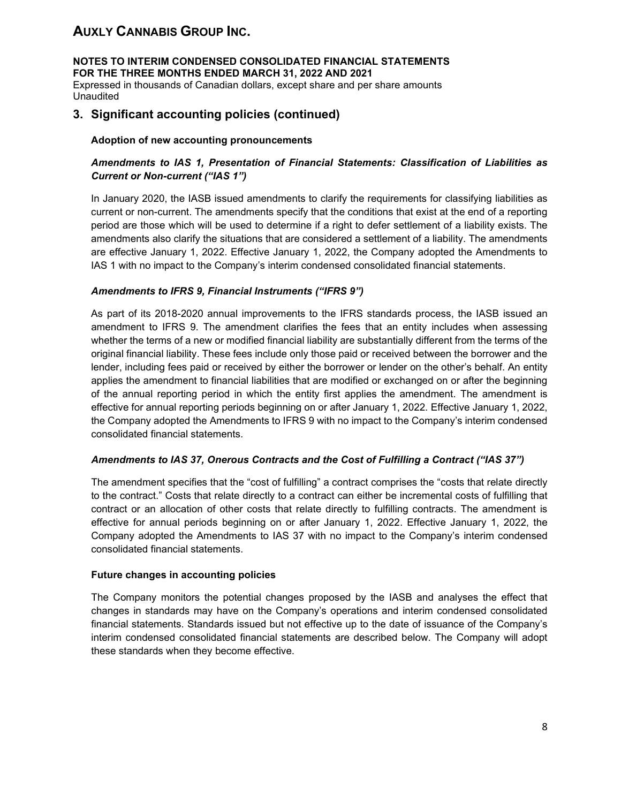**NOTES TO INTERIM CONDENSED CONSOLIDATED FINANCIAL STATEMENTS FOR THE THREE MONTHS ENDED MARCH 31, 2022 AND 2021**

Expressed in thousands of Canadian dollars, except share and per share amounts Unaudited

## **3. Significant accounting policies (continued)**

#### **Adoption of new accounting pronouncements**

### *Amendments to IAS 1, Presentation of Financial Statements: Classification of Liabilities as Current or Non-current ("IAS 1")*

In January 2020, the IASB issued amendments to clarify the requirements for classifying liabilities as current or non-current. The amendments specify that the conditions that exist at the end of a reporting period are those which will be used to determine if a right to defer settlement of a liability exists. The amendments also clarify the situations that are considered a settlement of a liability. The amendments are effective January 1, 2022. Effective January 1, 2022, the Company adopted the Amendments to IAS 1 with no impact to the Company's interim condensed consolidated financial statements.

#### *Amendments to IFRS 9, Financial Instruments ("IFRS 9")*

As part of its 2018-2020 annual improvements to the IFRS standards process, the IASB issued an amendment to IFRS 9. The amendment clarifies the fees that an entity includes when assessing whether the terms of a new or modified financial liability are substantially different from the terms of the original financial liability. These fees include only those paid or received between the borrower and the lender, including fees paid or received by either the borrower or lender on the other's behalf. An entity applies the amendment to financial liabilities that are modified or exchanged on or after the beginning of the annual reporting period in which the entity first applies the amendment. The amendment is effective for annual reporting periods beginning on or after January 1, 2022. Effective January 1, 2022, the Company adopted the Amendments to IFRS 9 with no impact to the Company's interim condensed consolidated financial statements.

#### *Amendments to IAS 37, Onerous Contracts and the Cost of Fulfilling a Contract ("IAS 37")*

The amendment specifies that the "cost of fulfilling" a contract comprises the "costs that relate directly to the contract." Costs that relate directly to a contract can either be incremental costs of fulfilling that contract or an allocation of other costs that relate directly to fulfilling contracts. The amendment is effective for annual periods beginning on or after January 1, 2022. Effective January 1, 2022, the Company adopted the Amendments to IAS 37 with no impact to the Company's interim condensed consolidated financial statements.

#### **Future changes in accounting policies**

The Company monitors the potential changes proposed by the IASB and analyses the effect that changes in standards may have on the Company's operations and interim condensed consolidated financial statements. Standards issued but not effective up to the date of issuance of the Company's interim condensed consolidated financial statements are described below. The Company will adopt these standards when they become effective.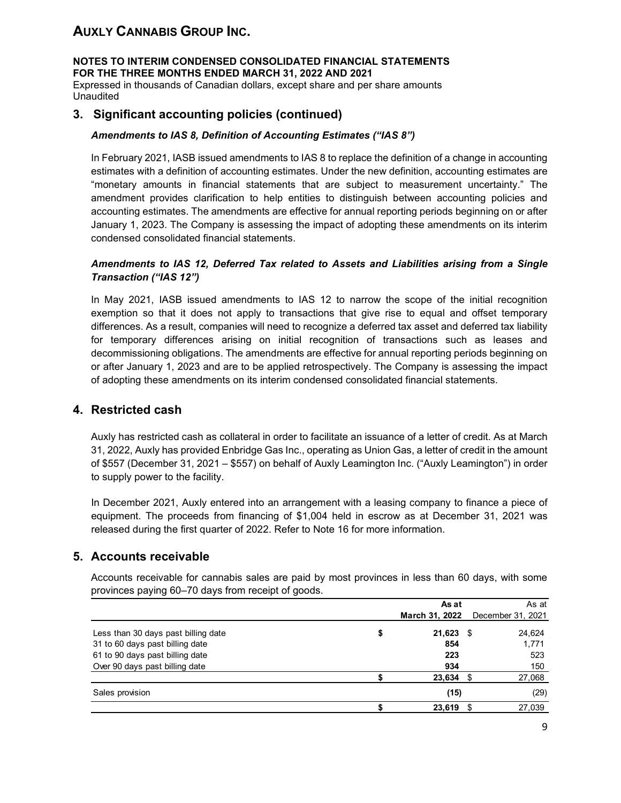**NOTES TO INTERIM CONDENSED CONSOLIDATED FINANCIAL STATEMENTS FOR THE THREE MONTHS ENDED MARCH 31, 2022 AND 2021**

Expressed in thousands of Canadian dollars, except share and per share amounts Unaudited

## **3. Significant accounting policies (continued)**

#### *Amendments to IAS 8, Definition of Accounting Estimates ("IAS 8")*

In February 2021, IASB issued amendments to IAS 8 to replace the definition of a change in accounting estimates with a definition of accounting estimates. Under the new definition, accounting estimates are "monetary amounts in financial statements that are subject to measurement uncertainty." The amendment provides clarification to help entities to distinguish between accounting policies and accounting estimates. The amendments are effective for annual reporting periods beginning on or after January 1, 2023. The Company is assessing the impact of adopting these amendments on its interim condensed consolidated financial statements.

#### *Amendments to IAS 12, Deferred Tax related to Assets and Liabilities arising from a Single Transaction ("IAS 12")*

In May 2021, IASB issued amendments to IAS 12 to narrow the scope of the initial recognition exemption so that it does not apply to transactions that give rise to equal and offset temporary differences. As a result, companies will need to recognize a deferred tax asset and deferred tax liability for temporary differences arising on initial recognition of transactions such as leases and decommissioning obligations. The amendments are effective for annual reporting periods beginning on or after January 1, 2023 and are to be applied retrospectively. The Company is assessing the impact of adopting these amendments on its interim condensed consolidated financial statements.

### **4. Restricted cash**

Auxly has restricted cash as collateral in order to facilitate an issuance of a letter of credit. As at March 31, 2022, Auxly has provided Enbridge Gas Inc., operating as Union Gas, a letter of credit in the amount of \$557 (December 31, 2021 – \$557) on behalf of Auxly Leamington Inc. ("Auxly Leamington") in order to supply power to the facility.

In December 2021, Auxly entered into an arrangement with a leasing company to finance a piece of equipment. The proceeds from financing of \$1,004 held in escrow as at December 31, 2021 was released during the first quarter of 2022. Refer to Note 16 for more information.

### **5. Accounts receivable**

Accounts receivable for cannabis sales are paid by most provinces in less than 60 days, with some provinces paying 60–70 days from receipt of goods.

|   | As at  |     | As at                                 |
|---|--------|-----|---------------------------------------|
|   |        |     | December 31, 2021                     |
| S | 21,623 |     | 24,624                                |
|   | 854    |     | 1,771                                 |
|   | 223    |     | 523                                   |
|   | 934    |     | 150                                   |
|   |        |     | 27,068                                |
|   | (15)   |     | (29)                                  |
|   | 23,619 | \$. | 27,039                                |
|   |        |     | March 31, 2022<br>- \$<br>$23,634$ \$ |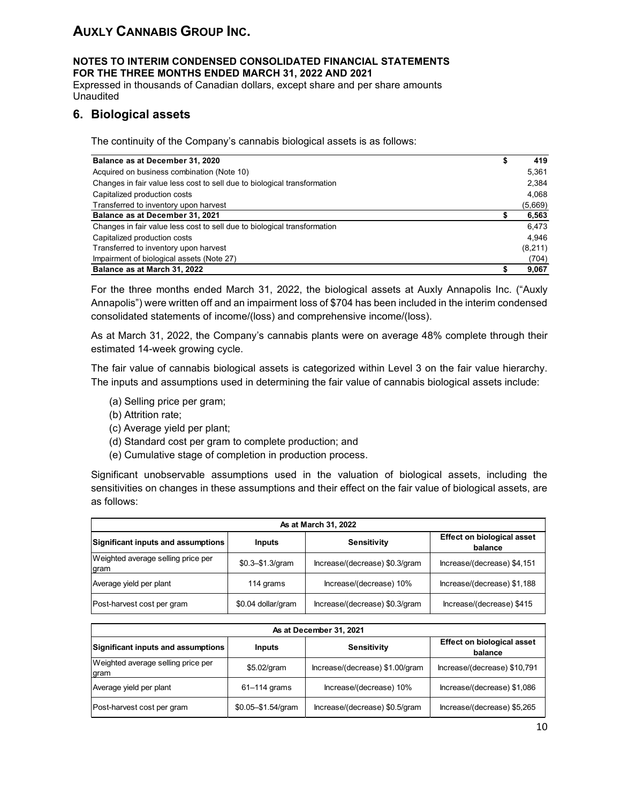#### **NOTES TO INTERIM CONDENSED CONSOLIDATED FINANCIAL STATEMENTS FOR THE THREE MONTHS ENDED MARCH 31, 2022 AND 2021**

Expressed in thousands of Canadian dollars, except share and per share amounts Unaudited

## **6. Biological assets**

The continuity of the Company's cannabis biological assets is as follows:

| Balance as at December 31, 2020                                          | 419      |
|--------------------------------------------------------------------------|----------|
| Acquired on business combination (Note 10)                               | 5,361    |
| Changes in fair value less cost to sell due to biological transformation | 2,384    |
| Capitalized production costs                                             | 4,068    |
| Transferred to inventory upon harvest                                    | (5,669)  |
| Balance as at December 31, 2021                                          | 6,563    |
| Changes in fair value less cost to sell due to biological transformation | 6.473    |
| Capitalized production costs                                             | 4.946    |
| Transferred to inventory upon harvest                                    | (8, 211) |
| Impairment of biological assets (Note 27)                                | (704)    |
| Balance as at March 31, 2022                                             | 9,067    |

For the three months ended March 31, 2022, the biological assets at Auxly Annapolis Inc. ("Auxly Annapolis") were written off and an impairment loss of \$704 has been included in the interim condensed consolidated statements of income/(loss) and comprehensive income/(loss).

As at March 31, 2022, the Company's cannabis plants were on average 48% complete through their estimated 14-week growing cycle.

The fair value of cannabis biological assets is categorized within Level 3 on the fair value hierarchy. The inputs and assumptions used in determining the fair value of cannabis biological assets include:

- (a) Selling price per gram;
- (b) Attrition rate;
- (c) Average yield per plant;
- (d) Standard cost per gram to complete production; and
- (e) Cumulative stage of completion in production process.

Significant unobservable assumptions used in the valuation of biological assets, including the sensitivities on changes in these assumptions and their effect on the fair value of biological assets, are as follows:

| As at March 31, 2022                       |                    |                                              |                             |  |  |  |  |  |  |  |  |
|--------------------------------------------|--------------------|----------------------------------------------|-----------------------------|--|--|--|--|--|--|--|--|
| Significant inputs and assumptions         | Inputs             | <b>Effect on biological asset</b><br>balance |                             |  |  |  |  |  |  |  |  |
| Weighted average selling price per<br>gram | $$0.3 - $1.3/gram$ | Increase/(decrease) \$0.3/gram               | Increase/(decrease) \$4,151 |  |  |  |  |  |  |  |  |
| Average yield per plant                    | 114 grams          | Increase/(decrease) 10%                      | Increase/(decrease) \$1,188 |  |  |  |  |  |  |  |  |
| Post-harvest cost per gram                 | \$0.04 dollar/gram | Increase/(decrease) \$0.3/gram               | Increase/(decrease) \$415   |  |  |  |  |  |  |  |  |

| As at December 31, 2021                     |                                                                              |                                 |                              |  |  |  |  |  |  |  |  |
|---------------------------------------------|------------------------------------------------------------------------------|---------------------------------|------------------------------|--|--|--|--|--|--|--|--|
| Significant inputs and assumptions          | <b>Effect on biological asset</b><br><b>Sensitivity</b><br>Inputs<br>balance |                                 |                              |  |  |  |  |  |  |  |  |
| Weighted average selling price per<br>Igram | \$5.02/gram                                                                  | Increase/(decrease) \$1.00/gram | Increase/(decrease) \$10,791 |  |  |  |  |  |  |  |  |
| Average yield per plant                     | $61-114$ grams                                                               | Increase/(decrease) 10%         | Increase/(decrease) \$1,086  |  |  |  |  |  |  |  |  |
| Post-harvest cost per gram                  | \$0.05-\$1.54/gram                                                           | Increase/(decrease) \$0.5/gram  | Increase/(decrease) \$5,265  |  |  |  |  |  |  |  |  |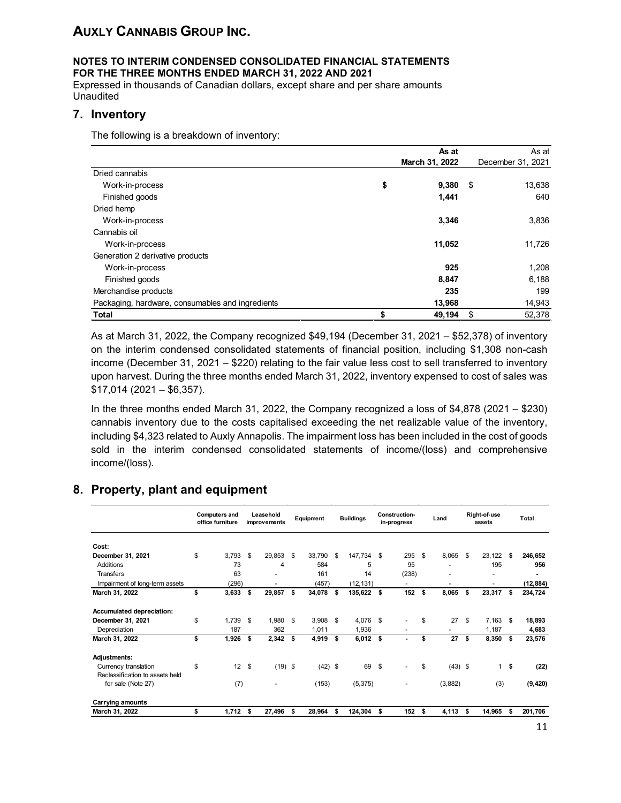### **NOTES TO INTERIM CONDENSED CONSOLIDATED FINANCIAL STATEMENTS FOR THE THREE MONTHS ENDED MARCH 31, 2022 AND 2021**

Expressed in thousands of Canadian dollars, except share and per share amounts **Unaudited** 

### **7. Inventory**

The following is a breakdown of inventory:

|                                                  | As at          | As at             |
|--------------------------------------------------|----------------|-------------------|
|                                                  | March 31, 2022 | December 31, 2021 |
| Dried cannabis                                   |                |                   |
| Work-in-process                                  | \$<br>9,380    | \$<br>13,638      |
| Finished goods                                   | 1,441          | 640               |
| Dried hemp                                       |                |                   |
| Work-in-process                                  | 3,346          | 3,836             |
| Cannabis oil                                     |                |                   |
| Work-in-process                                  | 11,052         | 11,726            |
| Generation 2 derivative products                 |                |                   |
| Work-in-process                                  | 925            | 1,208             |
| Finished goods                                   | 8,847          | 6,188             |
| Merchandise products                             | 235            | 199               |
| Packaging, hardware, consumables and ingredients | 13,968         | 14,943            |
| <b>Total</b>                                     | \$<br>49,194   | \$<br>52,378      |

As at March 31, 2022, the Company recognized \$49,194 (December 31, 2021 – \$52,378) of inventory on the interim condensed consolidated statements of financial position, including \$1,308 non-cash income (December 31, 2021 – \$220) relating to the fair value less cost to sell transferred to inventory upon harvest. During the three months ended March 31, 2022, inventory expensed to cost of sales was \$17,014 (2021 – \$6,357).

In the three months ended March 31, 2022, the Company recognized a loss of \$4,878 (2021 – \$230) cannabis inventory due to the costs capitalised exceeding the net realizable value of the inventory, including \$4,323 related to Auxly Annapolis. The impairment loss has been included in the cost of goods sold in the interim condensed consolidated statements of income/(loss) and comprehensive income/(loss).

#### **Computers and office furniture Leasehold improvements Equipment Buildings Constructionin-progress Land Right-of-use assets Total Cost: December 31, 2021** \$ 3,793 \$ 29,853 \$ 33,790 \$ 147,734 \$ 295 \$ 8,065 \$ 23,122 **\$ 246,652** Additions 73 4 584 5 95 - 195 **956** Transfers 63 - 161 14 (238) - - **-** Impairment of long-term assets (296)<br> **March 31, 2022 5 3,633 \$** 29,857 **5 34,078 \$ 135,622 \$ 152 \$** 8,065 \$ 23,317 \$ 234,724 **March 31, 2022 \$ 3,633 \$ 29,857 \$ 34,078 \$ 135,622 \$ 152 \$ 8,065 \$ 23,317 \$ 234,724 Accumulated depreciation: December 31, 2021** \$ 1,739 \$ 1,980 \$ 3,908 \$ 4,076 \$ - \$ 27 \$ 7,163 **\$ 18,893** Depreciation 187 362 1,011 1,936 - - 1,187 **4,683 March 31, 2022 \$ 1,926 \$ 2,342 \$ 4,919 \$ 6,012 \$ - \$ 27 \$ 8,350 \$ 23,576 Adjustments:** Currency translation \$ 12 \$ (19) \$ (42) \$ 69 \$ - \$ (43) \$ 1 **\$ (22)** Reclassification to assets held for sale (Note 27) (7) - (153) (5,375) - (3,882) (3) **(9,420) Carrying amounts March 31, 2022 \$ 1,712 \$ 27,496 \$ 28,964 \$ 124,304 \$ 152 \$ 4,113 \$ 14,965 \$ 201,706**

## **8. Property, plant and equipment**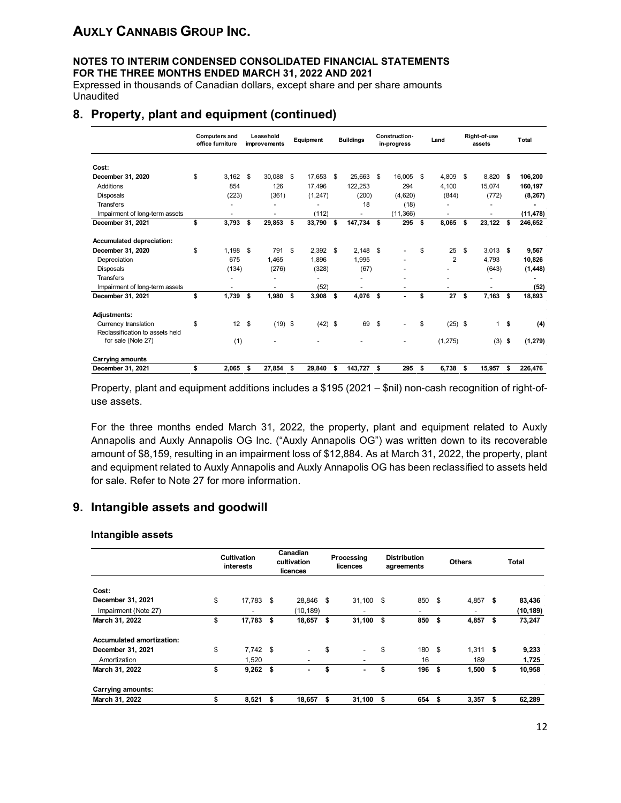#### **NOTES TO INTERIM CONDENSED CONSOLIDATED FINANCIAL STATEMENTS FOR THE THREE MONTHS ENDED MARCH 31, 2022 AND 2021**

Expressed in thousands of Canadian dollars, except share and per share amounts Unaudited

### **8. Property, plant and equipment (continued)**

|                                                         | <b>Computers and</b><br>office furniture | Leasehold<br>improvements |    | <b>Equipment</b> |      | <b>Buildings</b> |     | Construction-<br>in-progress | Land                     |    | Right-of-use<br>assets |           | <b>Total</b>             |
|---------------------------------------------------------|------------------------------------------|---------------------------|----|------------------|------|------------------|-----|------------------------------|--------------------------|----|------------------------|-----------|--------------------------|
| Cost:                                                   |                                          |                           |    |                  |      |                  |     |                              |                          |    |                        |           |                          |
| December 31, 2020                                       | \$<br>3,162                              | \$<br>30.088              | \$ | 17,653           | -S   | 25,663           | \$. | 16,005                       | \$<br>4,809              | \$ | 8,820                  | s.        | 106,200                  |
| Additions                                               | 854                                      | 126                       |    | 17,496           |      | 122,253          |     | 294                          | 4,100                    |    | 15,074                 |           | 160,197                  |
| <b>Disposals</b>                                        | (223)                                    | (361)                     |    | (1, 247)         |      | (200)            |     | (4,620)                      | (844)                    |    | (772)                  |           | (8, 267)                 |
| <b>Transfers</b>                                        |                                          | -                         |    |                  |      | 18               |     | (18)                         |                          |    |                        |           |                          |
| Impairment of long-term assets                          | -                                        | $\overline{\phantom{a}}$  |    | (112)            |      |                  |     | (11, 366)                    | $\overline{\phantom{a}}$ |    | -                      |           | (11, 478)                |
| December 31, 2021                                       | \$<br>3,793                              | \$<br>29,853              | \$ | 33,790           | \$   | 147,734          | s   | 295                          | \$<br>8,065              | \$ | 23,122                 | \$        | 246,652                  |
| Accumulated depreciation:                               |                                          |                           |    |                  |      |                  |     |                              |                          |    |                        |           |                          |
| December 31, 2020                                       | \$<br>1.198                              | \$<br>791                 | \$ | 2.392            | - \$ | 2.148            | Ŝ.  |                              | \$<br>25                 | \$ | 3,013                  | \$        | 9,567                    |
| Depreciation                                            | 675                                      | 1.465                     |    | 1.896            |      | 1.995            |     |                              | $\overline{2}$           |    | 4.793                  |           | 10,826                   |
| <b>Disposals</b>                                        | (134)                                    | (276)                     |    | (328)            |      | (67)             |     |                              |                          |    | (643)                  |           | (1, 448)                 |
| <b>Transfers</b>                                        |                                          | ٠                         |    |                  |      |                  |     |                              |                          |    | ٠                      |           | $\overline{\phantom{0}}$ |
| Impairment of long-term assets                          |                                          | -                         |    | (52)             |      |                  |     |                              | -                        |    |                        |           | (52)                     |
| December 31, 2021                                       | \$<br>1,739                              | \$<br>1,980               | \$ | 3,908            | \$   | 4,076            | \$  | $\blacksquare$               | \$<br>27                 | \$ | 7,163                  | \$        | 18,893                   |
| <b>Adjustments:</b>                                     |                                          |                           |    |                  |      |                  |     |                              |                          |    |                        |           |                          |
| Currency translation<br>Reclassification to assets held | \$<br>$12 \quad$                         | $(19)$ \$                 |    | $(42)$ \$        |      | 69               | S   |                              | \$<br>$(25)$ \$          |    |                        | $1 \quad$ | (4)                      |
| for sale (Note 27)                                      | (1)                                      |                           |    |                  |      |                  |     |                              | (1, 275)                 |    | (3)                    | \$        | (1, 279)                 |
| <b>Carrying amounts</b>                                 |                                          |                           |    |                  |      |                  |     |                              |                          |    |                        |           |                          |
| December 31, 2021                                       | \$<br>2.065                              | \$<br>27,854              | \$ | 29,840           | S.   | 143,727          | \$  | 295                          | \$<br>6,738              | \$ | 15,957                 | \$        | 226,476                  |

Property, plant and equipment additions includes a \$195 (2021 – \$nil) non-cash recognition of right-ofuse assets.

For the three months ended March 31, 2022, the property, plant and equipment related to Auxly Annapolis and Auxly Annapolis OG Inc. ("Auxly Annapolis OG") was written down to its recoverable amount of \$8,159, resulting in an impairment loss of \$12,884. As at March 31, 2022, the property, plant and equipment related to Auxly Annapolis and Auxly Annapolis OG has been reclassified to assets held for sale. Refer to Note 27 for more information.

### **9. Intangible assets and goodwill**

#### **Intangible assets**

|                                  | <b>Cultivation</b><br>interests | Canadian<br>cultivation<br>licences |                          | Processing<br>licences |                          | <b>Distribution</b><br>agreements |        |      | <b>Others</b> |      | <b>Total</b> |
|----------------------------------|---------------------------------|-------------------------------------|--------------------------|------------------------|--------------------------|-----------------------------------|--------|------|---------------|------|--------------|
| Cost:                            |                                 |                                     |                          |                        |                          |                                   |        |      |               |      |              |
| December 31, 2021                | \$<br>17,783                    | - \$                                | 28,846 \$                |                        | $31,100$ \$              |                                   | 850    | - \$ | 4,857         | - \$ | 83,436       |
| Impairment (Note 27)             |                                 |                                     | (10,189)                 |                        |                          |                                   | -      |      |               |      | (10, 189)    |
| March 31, 2022                   | \$<br>17,783                    | - \$                                | 18,657                   | - \$                   | 31,100                   | - \$                              | 850    | \$   | 4,857         | \$   | 73,247       |
| <b>Accumulated amortization:</b> |                                 |                                     |                          |                        |                          |                                   |        |      |               |      |              |
| December 31, 2021                | \$<br>$7.742$ \$                |                                     | $\overline{\phantom{0}}$ | \$                     | $\overline{\phantom{0}}$ | \$                                | 180 \$ |      | $1.311$ \$    |      | 9,233        |
| Amortization                     | 1.520                           |                                     |                          |                        |                          |                                   | 16     |      | 189           |      | 1,725        |
| March 31, 2022                   | \$<br>$9,262$ \$                |                                     |                          | \$                     |                          | \$                                | 196 \$ |      | $1,500$ \$    |      | 10,958       |
| Carrying amounts:                |                                 |                                     |                          |                        |                          |                                   |        |      |               |      |              |
| March 31, 2022                   | \$<br>8,521                     | - \$                                | 18,657 \$                |                        | $31,100$ \$              |                                   | 654    | \$   | $3,357$ \$    |      | 62,289       |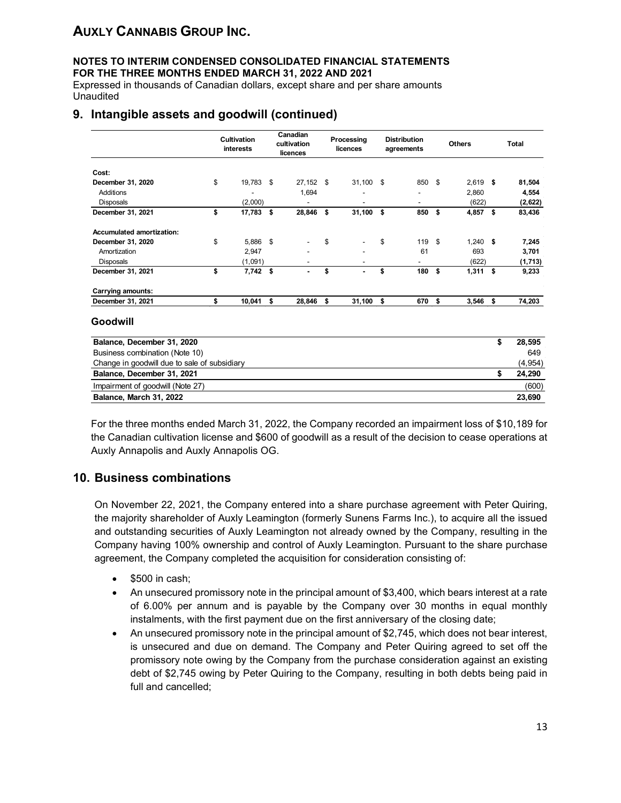#### **NOTES TO INTERIM CONDENSED CONSOLIDATED FINANCIAL STATEMENTS FOR THE THREE MONTHS ENDED MARCH 31, 2022 AND 2021**

Expressed in thousands of Canadian dollars, except share and per share amounts Unaudited

## **9. Intangible assets and goodwill (continued)**

|                                  | <b>Cultivation</b><br>interests | Canadian<br>cultivation<br>licences | Processing<br>licences | <b>Distribution</b><br>agreements |          | <b>Others</b> |      | <b>Total</b> |
|----------------------------------|---------------------------------|-------------------------------------|------------------------|-----------------------------------|----------|---------------|------|--------------|
| Cost:                            |                                 |                                     |                        |                                   |          |               |      |              |
| December 31, 2020                | \$<br>19,783                    | \$<br>27,152                        | \$<br>$31,100$ \$      | 850                               | - \$     | 2,619         | - \$ | 81,504       |
| Additions                        |                                 | 1,694                               | ٠                      | $\overline{\phantom{a}}$          |          | 2,860         |      | 4,554        |
| <b>Disposals</b>                 | (2,000)                         | ٠                                   | ٠                      | $\overline{\phantom{a}}$          |          | (622)         |      | (2,622)      |
| December 31, 2021                | \$<br>17,783 \$                 | 28,846                              | \$<br>31,100           | \$<br>850                         | \$       | 4,857         | s.   | 83,436       |
| <b>Accumulated amortization:</b> |                                 |                                     |                        |                                   |          |               |      |              |
| December 31, 2020                | \$<br>5,886 \$                  |                                     | \$                     | \$<br>119                         | <b>S</b> | $1,240$ \$    |      | 7,245        |
| Amortization                     | 2,947                           |                                     |                        | 61                                |          | 693           |      | 3,701        |
| <b>Disposals</b>                 | (1,091)                         |                                     |                        | ٠                                 |          | (622)         |      | (1,713)      |
| December 31, 2021                | \$<br>$7,742$ \$                |                                     | \$<br>$\blacksquare$   | \$<br>180                         | \$       | 1,311         | \$   | 9,233        |
| Carrying amounts:                |                                 |                                     |                        |                                   |          |               |      |              |
| December 31, 2021                | \$<br>10,041                    | \$<br>28,846                        | \$<br>31,100           | \$<br>670                         | \$       | 3,546         | s.   | 74,203       |
| Goodwill                         |                                 |                                     |                        |                                   |          |               |      |              |
| Balance December 31, 2020        |                                 |                                     |                        |                                   |          |               | \$   | 28.595       |

| Balance, December 31, 2020                   | 28.595  |
|----------------------------------------------|---------|
| Business combination (Note 10)               | 649     |
| Change in goodwill due to sale of subsidiary | (4,954) |
| Balance, December 31, 2021                   | 24.290  |
| Impairment of goodwill (Note 27)             | (600)   |
| Balance, March 31, 2022                      | 23,690  |

For the three months ended March 31, 2022, the Company recorded an impairment loss of \$10,189 for the Canadian cultivation license and \$600 of goodwill as a result of the decision to cease operations at Auxly Annapolis and Auxly Annapolis OG.

### **10. Business combinations**

On November 22, 2021, the Company entered into a share purchase agreement with Peter Quiring, the majority shareholder of Auxly Leamington (formerly Sunens Farms Inc.), to acquire all the issued and outstanding securities of Auxly Leamington not already owned by the Company, resulting in the Company having 100% ownership and control of Auxly Leamington. Pursuant to the share purchase agreement, the Company completed the acquisition for consideration consisting of:

- \$500 in cash;
- An unsecured promissory note in the principal amount of \$3,400, which bears interest at a rate of 6.00% per annum and is payable by the Company over 30 months in equal monthly instalments, with the first payment due on the first anniversary of the closing date;
- An unsecured promissory note in the principal amount of \$2,745, which does not bear interest, is unsecured and due on demand. The Company and Peter Quiring agreed to set off the promissory note owing by the Company from the purchase consideration against an existing debt of \$2,745 owing by Peter Quiring to the Company, resulting in both debts being paid in full and cancelled;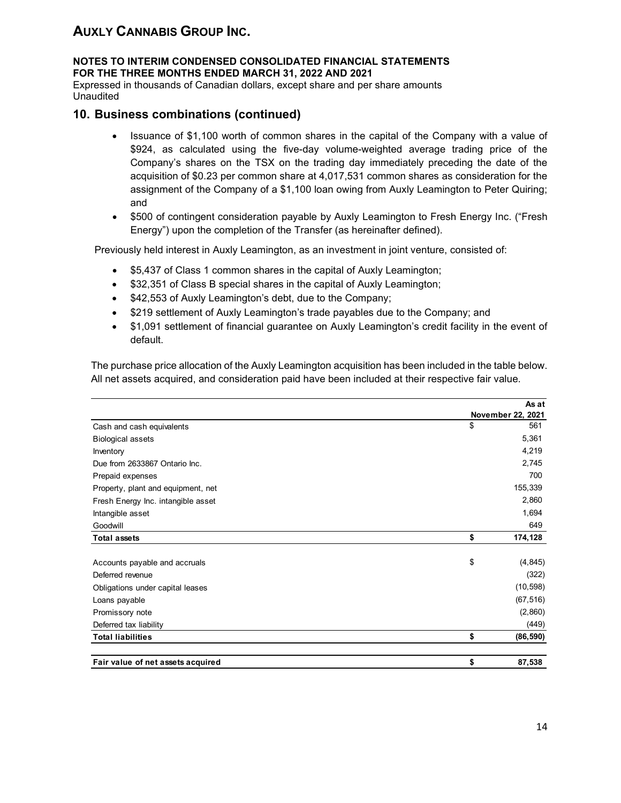#### **NOTES TO INTERIM CONDENSED CONSOLIDATED FINANCIAL STATEMENTS FOR THE THREE MONTHS ENDED MARCH 31, 2022 AND 2021**

Expressed in thousands of Canadian dollars, except share and per share amounts Unaudited

### **10. Business combinations (continued)**

- Issuance of \$1,100 worth of common shares in the capital of the Company with a value of \$924, as calculated using the five-day volume-weighted average trading price of the Company's shares on the TSX on the trading day immediately preceding the date of the acquisition of \$0.23 per common share at 4,017,531 common shares as consideration for the assignment of the Company of a \$1,100 loan owing from Auxly Leamington to Peter Quiring; and
- \$500 of contingent consideration payable by Auxly Leamington to Fresh Energy Inc. ("Fresh Energy") upon the completion of the Transfer (as hereinafter defined).

Previously held interest in Auxly Leamington, as an investment in joint venture, consisted of:

- \$5,437 of Class 1 common shares in the capital of Auxly Leamington;
- \$32,351 of Class B special shares in the capital of Auxly Leamington;
- \$42,553 of Auxly Leamington's debt, due to the Company;
- \$219 settlement of Auxly Leamington's trade payables due to the Company; and
- \$1,091 settlement of financial guarantee on Auxly Leamington's credit facility in the event of default.

The purchase price allocation of the Auxly Leamington acquisition has been included in the table below. All net assets acquired, and consideration paid have been included at their respective fair value.

|                                    | As at             |  |
|------------------------------------|-------------------|--|
|                                    | November 22, 2021 |  |
| Cash and cash equivalents          | \$<br>561         |  |
| <b>Biological assets</b>           | 5,361             |  |
| Inventory                          | 4,219             |  |
| Due from 2633867 Ontario Inc.      | 2,745             |  |
| Prepaid expenses                   | 700               |  |
| Property, plant and equipment, net | 155,339           |  |
| Fresh Energy Inc. intangible asset | 2,860             |  |
| Intangible asset                   | 1,694             |  |
| Goodwill                           | 649               |  |
| <b>Total assets</b>                | \$<br>174,128     |  |
|                                    |                   |  |
| Accounts payable and accruals      | \$<br>(4, 845)    |  |
| Deferred revenue                   | (322)             |  |
| Obligations under capital leases   | (10, 598)         |  |
| Loans payable                      | (67, 516)         |  |
| Promissory note                    | (2,860)           |  |
| Deferred tax liability             | (449)             |  |
| <b>Total liabilities</b>           | \$<br>(86, 590)   |  |
| Fair value of net assets acquired  | \$<br>87,538      |  |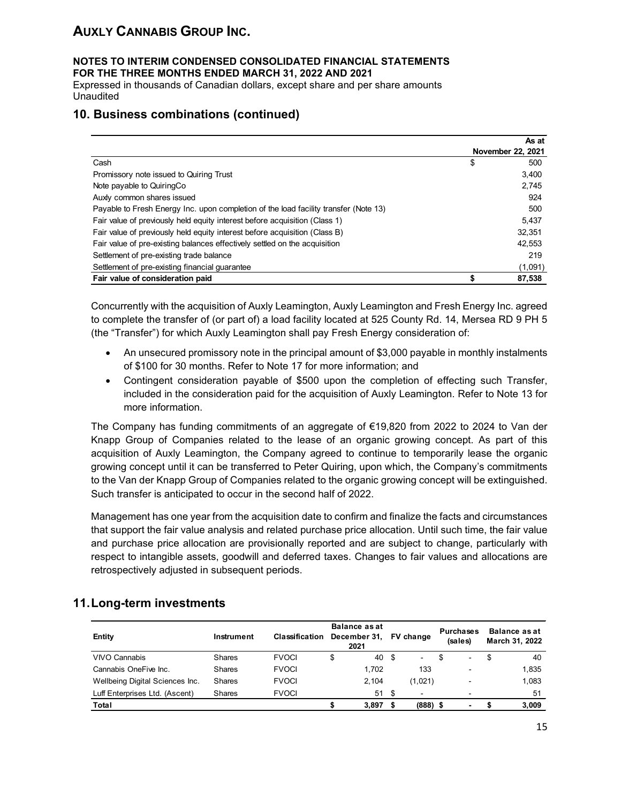#### **NOTES TO INTERIM CONDENSED CONSOLIDATED FINANCIAL STATEMENTS FOR THE THREE MONTHS ENDED MARCH 31, 2022 AND 2021**

Expressed in thousands of Canadian dollars, except share and per share amounts Unaudited

## **10. Business combinations (continued)**

|                                                                                      |    | As at             |
|--------------------------------------------------------------------------------------|----|-------------------|
|                                                                                      |    | November 22, 2021 |
| Cash                                                                                 | \$ | 500               |
| Promissory note issued to Quiring Trust                                              |    | 3,400             |
| Note payable to QuiringCo                                                            |    | 2,745             |
| Auxly common shares issued                                                           |    | 924               |
| Payable to Fresh Energy Inc. upon completion of the load facility transfer (Note 13) |    | 500               |
| Fair value of previously held equity interest before acquisition (Class 1)           |    | 5.437             |
| Fair value of previously held equity interest before acquisition (Class B)           |    | 32.351            |
| Fair value of pre-existing balances effectively settled on the acquisition           |    | 42,553            |
| Settlement of pre-existing trade balance                                             |    | 219               |
| Settlement of pre-existing financial guarantee                                       |    | (1,091)           |
| Fair value of consideration paid                                                     | S  | 87,538            |

Concurrently with the acquisition of Auxly Leamington, Auxly Leamington and Fresh Energy Inc. agreed to complete the transfer of (or part of) a load facility located at 525 County Rd. 14, Mersea RD 9 PH 5 (the "Transfer") for which Auxly Leamington shall pay Fresh Energy consideration of:

- An unsecured promissory note in the principal amount of \$3,000 payable in monthly instalments of \$100 for 30 months. Refer to Note 17 for more information; and
- Contingent consideration payable of \$500 upon the completion of effecting such Transfer, included in the consideration paid for the acquisition of Auxly Leamington. Refer to Note 13 for more information.

The Company has funding commitments of an aggregate of €19,820 from 2022 to 2024 to Van der Knapp Group of Companies related to the lease of an organic growing concept. As part of this acquisition of Auxly Leamington, the Company agreed to continue to temporarily lease the organic growing concept until it can be transferred to Peter Quiring, upon which, the Company's commitments to the Van der Knapp Group of Companies related to the organic growing concept will be extinguished. Such transfer is anticipated to occur in the second half of 2022.

Management has one year from the acquisition date to confirm and finalize the facts and circumstances that support the fair value analysis and related purchase price allocation. Until such time, the fair value and purchase price allocation are provisionally reported and are subject to change, particularly with respect to intangible assets, goodwill and deferred taxes. Changes to fair values and allocations are retrospectively adjusted in subsequent periods.

| Entity                          | Instrument    | <b>Classification</b> | Balance as at<br>December 31,<br>2021 |       | <b>FV</b> change         |     | <b>Purchases</b><br>(sales) | Balance as at<br>March 31, 2022 |
|---------------------------------|---------------|-----------------------|---------------------------------------|-------|--------------------------|-----|-----------------------------|---------------------------------|
| <b>VIVO Cannabis</b>            | Shares        | <b>FVOCI</b>          | \$                                    | 40 \$ | $\sim$                   | \$. | $\blacksquare$              | \$<br>40                        |
| Cannabis OneFive Inc.           | Shares        | <b>FVOCI</b>          |                                       | 1.702 | 133                      |     | ÷                           | 1.835                           |
| Wellbeing Digital Sciences Inc. | Shares        | <b>FVOCI</b>          |                                       | 2.104 | (1,021)                  |     | -                           | 1.083                           |
| Luff Enterprises Ltd. (Ascent)  | <b>Shares</b> | <b>FVOCI</b>          |                                       | 51S   | $\overline{\phantom{0}}$ |     | ٠                           | 51                              |
| Total                           |               |                       |                                       | 3.897 | $(888)$ \$               |     | $\overline{\phantom{0}}$    | 3.009                           |

## **11.Long-term investments**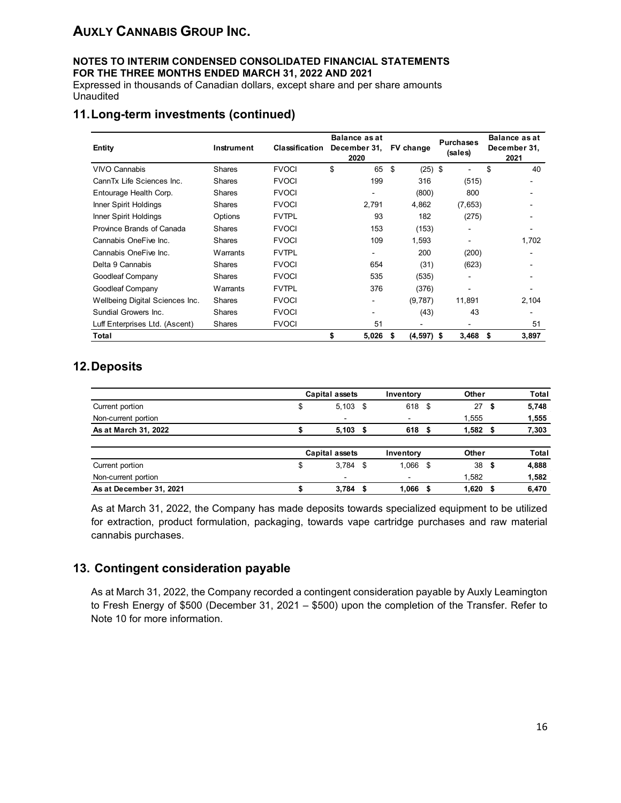#### **NOTES TO INTERIM CONDENSED CONSOLIDATED FINANCIAL STATEMENTS FOR THE THREE MONTHS ENDED MARCH 31, 2022 AND 2021**

Expressed in thousands of Canadian dollars, except share and per share amounts Unaudited

## **11.Long-term investments (continued)**

| Entity                          | Instrument    | Classification | <b>Balance as at</b><br>December 31,<br>2020 | FV change            | <b>Purchases</b><br>(sales) | <b>Balance as at</b><br>December 31,<br>2021 |  |
|---------------------------------|---------------|----------------|----------------------------------------------|----------------------|-----------------------------|----------------------------------------------|--|
| <b>VIVO Cannabis</b>            | Shares        | <b>FVOCI</b>   | \$<br>65                                     | \$<br>$(25)$ \$      |                             | \$<br>40                                     |  |
| CannTx Life Sciences Inc.       | Shares        | <b>FVOCI</b>   | 199                                          | 316                  | (515)                       |                                              |  |
| Entourage Health Corp.          | <b>Shares</b> | <b>FVOCI</b>   |                                              | (800)                | 800                         |                                              |  |
| Inner Spirit Holdings           | Shares        | <b>FVOCI</b>   | 2.791                                        | 4,862                | (7,653)                     |                                              |  |
| Inner Spirit Holdings           | Options       | <b>FVTPL</b>   | 93                                           | 182                  | (275)                       |                                              |  |
| Province Brands of Canada       | Shares        | <b>FVOCI</b>   | 153                                          | (153)                | $\overline{\phantom{a}}$    |                                              |  |
| Cannabis OneFive Inc.           | Shares        | <b>FVOCI</b>   | 109                                          | 1,593                | $\blacksquare$              | 1,702                                        |  |
| Cannabis OneFive Inc.           | Warrants      | <b>FVTPL</b>   |                                              | 200                  | (200)                       |                                              |  |
| Delta 9 Cannabis                | <b>Shares</b> | <b>FVOCI</b>   | 654                                          | (31)                 | (623)                       |                                              |  |
| Goodleaf Company                | Shares        | <b>FVOCI</b>   | 535                                          | (535)                |                             |                                              |  |
| Goodleaf Company                | Warrants      | <b>FVTPL</b>   | 376                                          | (376)                |                             |                                              |  |
| Wellbeing Digital Sciences Inc. | Shares        | <b>FVOCI</b>   |                                              | (9,787)              | 11,891                      | 2,104                                        |  |
| Sundial Growers Inc.            | <b>Shares</b> | <b>FVOCI</b>   |                                              | (43)                 | 43                          |                                              |  |
| Luff Enterprises Ltd. (Ascent)  | <b>Shares</b> | <b>FVOCI</b>   | 51                                           |                      |                             | 51                                           |  |
| Total                           |               |                | \$<br>5,026                                  | $(4,597)$ \$<br>- \$ | 3,468                       | \$<br>3,897                                  |  |

## **12.Deposits**

|                         | Capital assets      | Inventory                |      | Other |      | Total        |
|-------------------------|---------------------|--------------------------|------|-------|------|--------------|
| Current portion         | \$<br>5,103<br>- \$ | 618                      | - \$ | 27    | \$   | 5,748        |
| Non-current portion     | $\blacksquare$      |                          |      | 1,555 |      | 1,555        |
| As at March 31, 2022    | 5,103<br>- 5        | 618 \$                   |      | 1,582 | - 5  | 7,303        |
|                         | Capital assets      | Inventory                |      | Other |      | <b>Total</b> |
| Current portion         | \$<br>3,784<br>-\$  | 1,066 \$                 |      | 38    | - \$ | 4,888        |
| Non-current portion     | $\blacksquare$      | $\overline{\phantom{a}}$ |      | 1,582 |      | 1,582        |
| As at December 31, 2021 | 3.784<br>S          | 1.066                    | - \$ | 1.620 | S    | 6,470        |

As at March 31, 2022, the Company has made deposits towards specialized equipment to be utilized for extraction, product formulation, packaging, towards vape cartridge purchases and raw material cannabis purchases.

## **13. Contingent consideration payable**

As at March 31, 2022, the Company recorded a contingent consideration payable by Auxly Leamington to Fresh Energy of \$500 (December 31, 2021 – \$500) upon the completion of the Transfer. Refer to Note 10 for more information.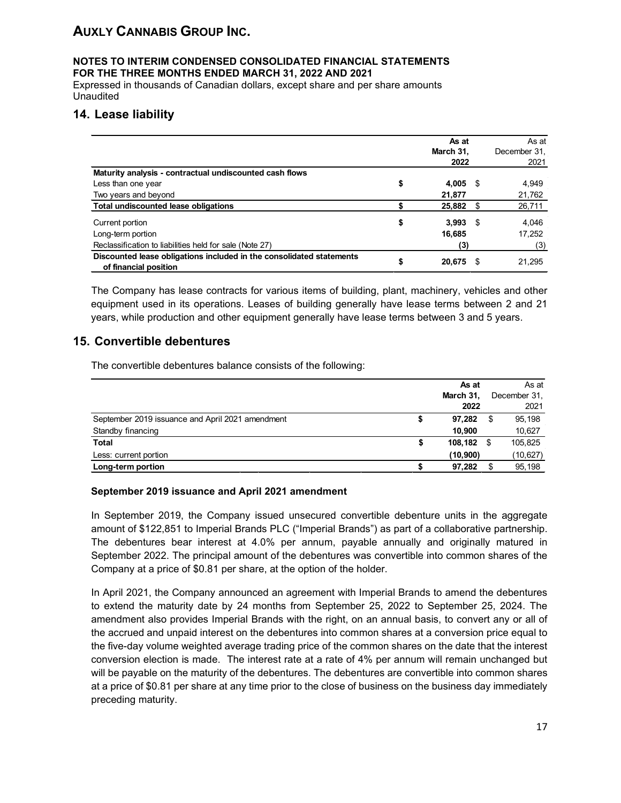#### **NOTES TO INTERIM CONDENSED CONSOLIDATED FINANCIAL STATEMENTS FOR THE THREE MONTHS ENDED MARCH 31, 2022 AND 2021**

Expressed in thousands of Canadian dollars, except share and per share amounts Unaudited

## **14. Lease liability**

|                                                                                               | As at        |      | As at        |
|-----------------------------------------------------------------------------------------------|--------------|------|--------------|
|                                                                                               | March 31,    |      | December 31. |
|                                                                                               | 2022         |      | 2021         |
| Maturity analysis - contractual undiscounted cash flows                                       |              |      |              |
| Less than one year                                                                            | \$<br>4,005  | - \$ | 4,949        |
| Two years and beyond                                                                          | 21,877       |      | 21,762       |
| Total undiscounted lease obligations                                                          | 25,882       | S    | 26,711       |
| Current portion                                                                               | \$<br>3.993  | -S   | 4,046        |
| Long-term portion                                                                             | 16,685       |      | 17,252       |
| Reclassification to liabilities held for sale (Note 27)                                       | (3)          |      | (3)          |
| Discounted lease obligations included in the consolidated statements<br>of financial position | \$<br>20,675 | S    | 21,295       |

The Company has lease contracts for various items of building, plant, machinery, vehicles and other equipment used in its operations. Leases of building generally have lease terms between 2 and 21 years, while production and other equipment generally have lease terms between 3 and 5 years.

## **15. Convertible debentures**

The convertible debentures balance consists of the following:

|                                                  |    | As at     |    | As at        |
|--------------------------------------------------|----|-----------|----|--------------|
|                                                  |    | March 31, |    | December 31. |
|                                                  |    | 2022      |    | 2021         |
| September 2019 issuance and April 2021 amendment | S  | 97,282    | \$ | 95,198       |
| Standby financing                                |    | 10.900    |    | 10,627       |
| <b>Total</b>                                     | \$ | 108.182   | S  | 105,825      |
| Less: current portion                            |    | (10, 900) |    | (10, 627)    |
| Long-term portion                                |    | 97,282    | S  | 95,198       |

#### **September 2019 issuance and April 2021 amendment**

In September 2019, the Company issued unsecured convertible debenture units in the aggregate amount of \$122,851 to Imperial Brands PLC ("Imperial Brands") as part of a collaborative partnership. The debentures bear interest at 4.0% per annum, payable annually and originally matured in September 2022. The principal amount of the debentures was convertible into common shares of the Company at a price of \$0.81 per share, at the option of the holder.

In April 2021, the Company announced an agreement with Imperial Brands to amend the debentures to extend the maturity date by 24 months from September 25, 2022 to September 25, 2024. The amendment also provides Imperial Brands with the right, on an annual basis, to convert any or all of the accrued and unpaid interest on the debentures into common shares at a conversion price equal to the five-day volume weighted average trading price of the common shares on the date that the interest conversion election is made. The interest rate at a rate of 4% per annum will remain unchanged but will be payable on the maturity of the debentures. The debentures are convertible into common shares at a price of \$0.81 per share at any time prior to the close of business on the business day immediately preceding maturity.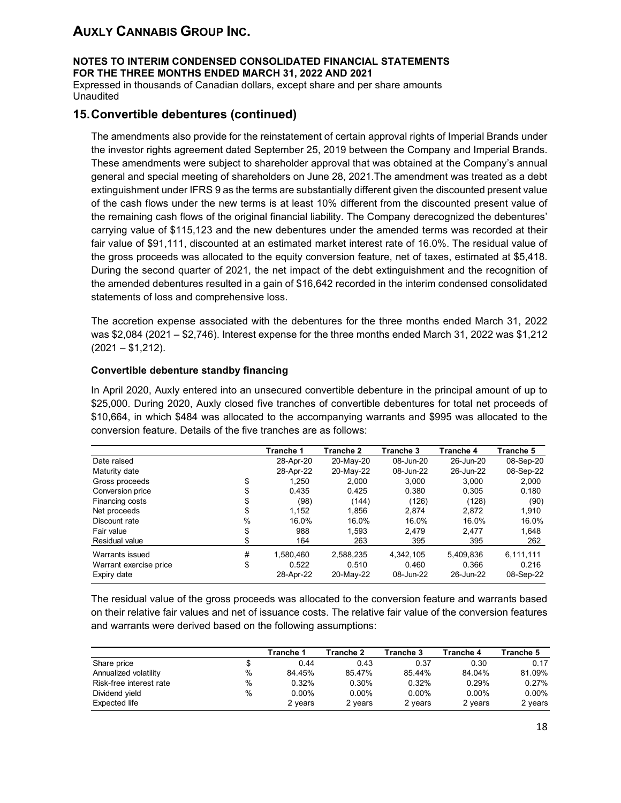**NOTES TO INTERIM CONDENSED CONSOLIDATED FINANCIAL STATEMENTS FOR THE THREE MONTHS ENDED MARCH 31, 2022 AND 2021**

Expressed in thousands of Canadian dollars, except share and per share amounts Unaudited

## **15.Convertible debentures (continued)**

The amendments also provide for the reinstatement of certain approval rights of Imperial Brands under the investor rights agreement dated September 25, 2019 between the Company and Imperial Brands. These amendments were subject to shareholder approval that was obtained at the Company's annual general and special meeting of shareholders on June 28, 2021.The amendment was treated as a debt extinguishment under IFRS 9 as the terms are substantially different given the discounted present value of the cash flows under the new terms is at least 10% different from the discounted present value of the remaining cash flows of the original financial liability. The Company derecognized the debentures' carrying value of \$115,123 and the new debentures under the amended terms was recorded at their fair value of \$91,111, discounted at an estimated market interest rate of 16.0%. The residual value of the gross proceeds was allocated to the equity conversion feature, net of taxes, estimated at \$5,418. During the second quarter of 2021, the net impact of the debt extinguishment and the recognition of the amended debentures resulted in a gain of \$16,642 recorded in the interim condensed consolidated statements of loss and comprehensive loss.

The accretion expense associated with the debentures for the three months ended March 31, 2022 was \$2,084 (2021 – \$2,746). Interest expense for the three months ended March 31, 2022 was \$1,212 (2021 – \$1,212).

#### **Convertible debenture standby financing**

In April 2020, Auxly entered into an unsecured convertible debenture in the principal amount of up to \$25,000. During 2020, Auxly closed five tranches of convertible debentures for total net proceeds of \$10,664, in which \$484 was allocated to the accompanying warrants and \$995 was allocated to the conversion feature. Details of the five tranches are as follows:

|                        |      | Tranche 1 | Tranche 2 | Tranche 3 | Tranche 4 | Tranche 5 |
|------------------------|------|-----------|-----------|-----------|-----------|-----------|
| Date raised            |      | 28-Apr-20 | 20-May-20 | 08-Jun-20 | 26-Jun-20 | 08-Sep-20 |
| Maturity date          |      | 28-Apr-22 | 20-May-22 | 08-Jun-22 | 26-Jun-22 | 08-Sep-22 |
| Gross proceeds         |      | 1.250     | 2.000     | 3.000     | 3.000     | 2,000     |
| Conversion price       |      | 0.435     | 0.425     | 0.380     | 0.305     | 0.180     |
| Financing costs        |      | (98)      | (144)     | (126)     | (128)     | (90)      |
| Net proceeds           |      | 1.152     | 1.856     | 2.874     | 2.872     | 1,910     |
| Discount rate          | $\%$ | 16.0%     | 16.0%     | 16.0%     | 16.0%     | 16.0%     |
| Fair value             | S    | 988       | 1.593     | 2.479     | 2.477     | 1,648     |
| Residual value         |      | 164       | 263       | 395       | 395       | 262       |
| Warrants issued        | #    | 1.580.460 | 2.588.235 | 4.342.105 | 5.409.836 | 6,111,111 |
| Warrant exercise price | \$   | 0.522     | 0.510     | 0.460     | 0.366     | 0.216     |
| Expiry date            |      | 28-Apr-22 | 20-May-22 | 08-Jun-22 | 26-Jun-22 | 08-Sep-22 |

The residual value of the gross proceeds was allocated to the conversion feature and warrants based on their relative fair values and net of issuance costs. The relative fair value of the conversion features and warrants were derived based on the following assumptions:

|                         |   | Tranche 1 | Tranche 2 | Tranche 3 | Tranche 4 | Tranche 5 |
|-------------------------|---|-----------|-----------|-----------|-----------|-----------|
| Share price             |   | 0.44      | 0.43      | 0.37      | 0.30      | 0.17      |
| Annualized volatility   | % | 84.45%    | 85.47%    | 85.44%    | 84.04%    | 81.09%    |
| Risk-free interest rate | % | 0.32%     | 0.30%     | 0.32%     | 0.29%     | 0.27%     |
| Dividend yield          | % | $0.00\%$  | $0.00\%$  | $0.00\%$  | $0.00\%$  | $0.00\%$  |
| Expected life           |   | 2 years   | 2 vears   | 2 vears   | 2 years   | 2 years   |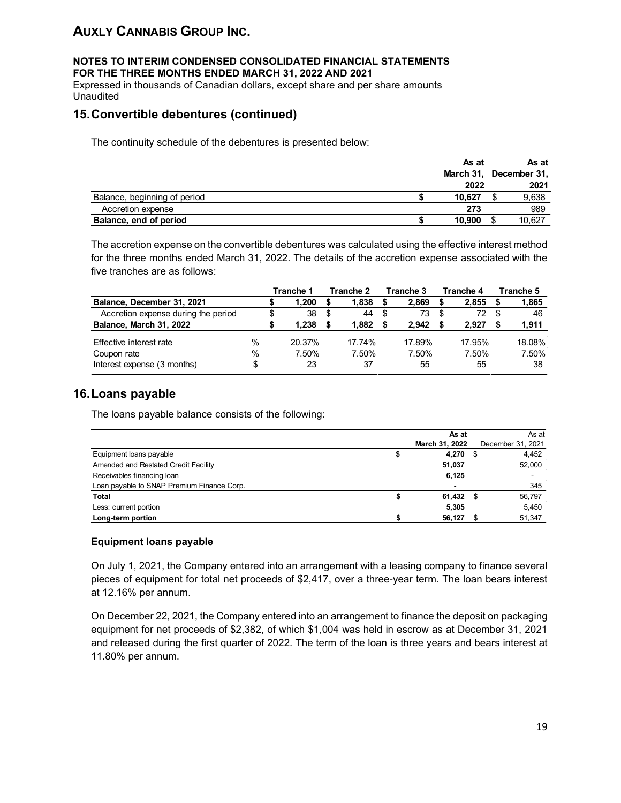#### **NOTES TO INTERIM CONDENSED CONSOLIDATED FINANCIAL STATEMENTS FOR THE THREE MONTHS ENDED MARCH 31, 2022 AND 2021**

Expressed in thousands of Canadian dollars, except share and per share amounts Unaudited

## **15.Convertible debentures (continued)**

The continuity schedule of the debentures is presented below:

|                              | As at  | As at                  |
|------------------------------|--------|------------------------|
|                              |        | March 31, December 31, |
|                              | 2022   | 2021                   |
| Balance, beginning of period | 10.627 | 9,638                  |
| Accretion expense            | 273    | 989                    |
| Balance, end of period       | 10,900 | 10,627                 |

The accretion expense on the convertible debentures was calculated using the effective interest method for the three months ended March 31, 2022. The details of the accretion expense associated with the five tranches are as follows:

|                                     |      | Tranche 1 | Tranche 2 | Tranche 3 | Tranche 4 | Tranche 5 |
|-------------------------------------|------|-----------|-----------|-----------|-----------|-----------|
| Balance, December 31, 2021          |      | .200      | 1,838     | 2.869     | 2.855     | 1,865     |
| Accretion expense during the period |      | 38        | 44        | 73        | 72        | 46        |
| Balance, March 31, 2022             |      | 238       | 1.882     | 2.942     | 2.927     | 1,911     |
| Effective interest rate             | $\%$ | 20.37%    | 17.74%    | 17.89%    | 17.95%    | 18.08%    |
| Coupon rate                         | $\%$ | 7.50%     | 7.50%     | 7.50%     | 7.50%     | 7.50%     |
| Interest expense (3 months)         | \$   | 23        | 37        | 55        | 55        | 38        |

## **16.Loans payable**

The loans payable balance consists of the following:

|                                            | As at                    | As at             |
|--------------------------------------------|--------------------------|-------------------|
|                                            | March 31, 2022           | December 31, 2021 |
| Equipment loans payable                    | 4,270                    | 4,452             |
| Amended and Restated Credit Facility       | 51,037                   | 52,000            |
| Receivables financing loan                 | 6,125                    | -                 |
| Loan payable to SNAP Premium Finance Corp. | $\overline{\phantom{0}}$ | 345               |
| Total                                      | $61,432$ \$              | 56,797            |
| Less: current portion                      | 5,305                    | 5,450             |
| Long-term portion                          | 56,127                   | 51,347            |

#### **Equipment loans payable**

On July 1, 2021, the Company entered into an arrangement with a leasing company to finance several pieces of equipment for total net proceeds of \$2,417, over a three-year term. The loan bears interest at 12.16% per annum.

On December 22, 2021, the Company entered into an arrangement to finance the deposit on packaging equipment for net proceeds of \$2,382, of which \$1,004 was held in escrow as at December 31, 2021 and released during the first quarter of 2022. The term of the loan is three years and bears interest at 11.80% per annum.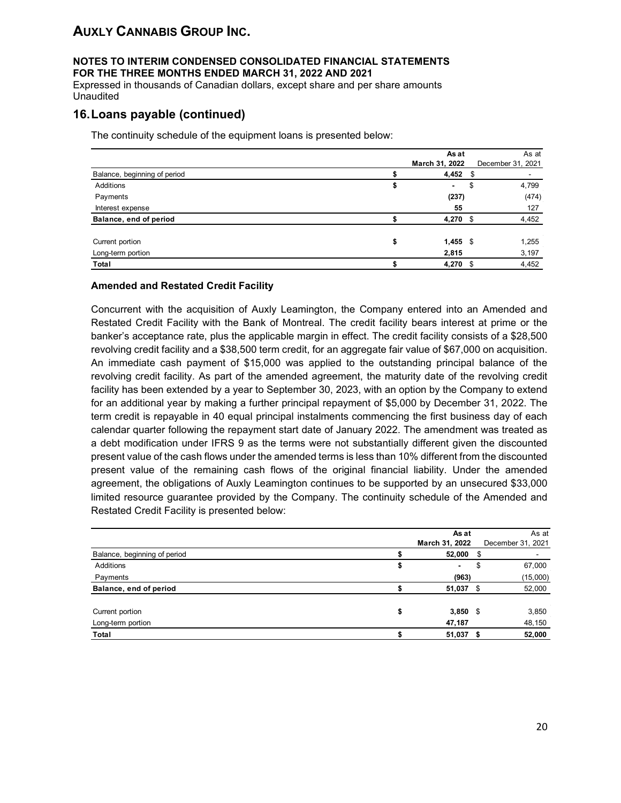#### **NOTES TO INTERIM CONDENSED CONSOLIDATED FINANCIAL STATEMENTS FOR THE THREE MONTHS ENDED MARCH 31, 2022 AND 2021**

Expressed in thousands of Canadian dollars, except share and per share amounts **Unaudited** 

## **16.Loans payable (continued)**

The continuity schedule of the equipment loans is presented below:

|                              |    | As at          | As at             |
|------------------------------|----|----------------|-------------------|
|                              |    | March 31, 2022 | December 31, 2021 |
| Balance, beginning of period |    | $4,452$ \$     | ۰.                |
| Additions                    | ъ  |                | \$<br>4,799       |
| Payments                     |    | (237)          | (474)             |
| Interest expense             |    | 55             | 127               |
| Balance, end of period       |    | 4,270 \$       | 4,452             |
| Current portion              | \$ | $1,455$ \$     | 1,255             |
| Long-term portion            |    | 2,815          | 3,197             |
| <b>Total</b>                 |    | $4,270$ \$     | 4,452             |

#### **Amended and Restated Credit Facility**

Concurrent with the acquisition of Auxly Leamington, the Company entered into an Amended and Restated Credit Facility with the Bank of Montreal. The credit facility bears interest at prime or the banker's acceptance rate, plus the applicable margin in effect. The credit facility consists of a \$28,500 revolving credit facility and a \$38,500 term credit, for an aggregate fair value of \$67,000 on acquisition. An immediate cash payment of \$15,000 was applied to the outstanding principal balance of the revolving credit facility. As part of the amended agreement, the maturity date of the revolving credit facility has been extended by a year to September 30, 2023, with an option by the Company to extend for an additional year by making a further principal repayment of \$5,000 by December 31, 2022. The term credit is repayable in 40 equal principal instalments commencing the first business day of each calendar quarter following the repayment start date of January 2022. The amendment was treated as a debt modification under IFRS 9 as the terms were not substantially different given the discounted present value of the cash flows under the amended terms is less than 10% different from the discounted present value of the remaining cash flows of the original financial liability. Under the amended agreement, the obligations of Auxly Leamington continues to be supported by an unsecured \$33,000 limited resource guarantee provided by the Company. The continuity schedule of the Amended and Restated Credit Facility is presented below:

|                              | As at                | As at             |
|------------------------------|----------------------|-------------------|
|                              | March 31, 2022       | December 31, 2021 |
| Balance, beginning of period | $52,000$ \$          | ۰                 |
| Additions                    | \$<br>$\blacksquare$ | \$<br>67,000      |
| Payments                     | (963)                | (15,000)          |
| Balance, end of period       | $51,037$ \$          | 52,000            |
| Current portion              | \$<br>$3,850$ \$     | 3,850             |
| Long-term portion            | 47,187               | 48,150            |
| Total                        | $51,037$ \$          | 52,000            |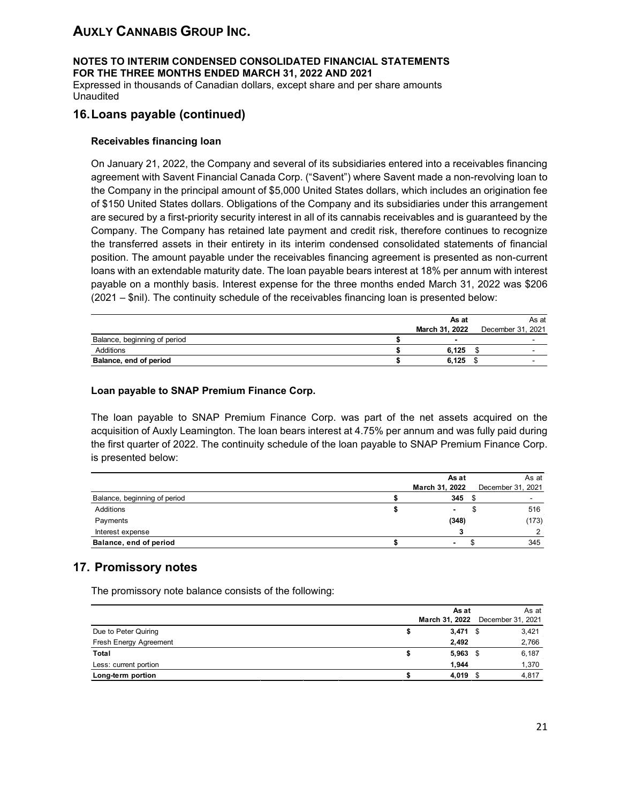#### **NOTES TO INTERIM CONDENSED CONSOLIDATED FINANCIAL STATEMENTS FOR THE THREE MONTHS ENDED MARCH 31, 2022 AND 2021**

Expressed in thousands of Canadian dollars, except share and per share amounts Unaudited

## **16.Loans payable (continued)**

#### **Receivables financing loan**

On January 21, 2022, the Company and several of its subsidiaries entered into a receivables financing agreement with Savent Financial Canada Corp. ("Savent") where Savent made a non-revolving loan to the Company in the principal amount of \$5,000 United States dollars, which includes an origination fee of \$150 United States dollars. Obligations of the Company and its subsidiaries under this arrangement are secured by a first-priority security interest in all of its cannabis receivables and is guaranteed by the Company. The Company has retained late payment and credit risk, therefore continues to recognize the transferred assets in their entirety in its interim condensed consolidated statements of financial position. The amount payable under the receivables financing agreement is presented as non-current loans with an extendable maturity date. The loan payable bears interest at 18% per annum with interest payable on a monthly basis. Interest expense for the three months ended March 31, 2022 was \$206 (2021 – \$nil). The continuity schedule of the receivables financing loan is presented below:

|                              | As at          | As at             |
|------------------------------|----------------|-------------------|
|                              | March 31, 2022 | December 31, 2021 |
| Balance, beginning of period |                | -                 |
| Additions                    | 6.125          | $\sim$            |
| Balance, end of period       | 6.125          |                   |

#### **Loan payable to SNAP Premium Finance Corp.**

The loan payable to SNAP Premium Finance Corp. was part of the net assets acquired on the acquisition of Auxly Leamington. The loan bears interest at 4.75% per annum and was fully paid during the first quarter of 2022. The continuity schedule of the loan payable to SNAP Premium Finance Corp. is presented below:

|                              | As at          | As at             |
|------------------------------|----------------|-------------------|
|                              | March 31, 2022 | December 31, 2021 |
| Balance, beginning of period | 345            | ۰                 |
| Additions                    |                | 516               |
| Payments                     | (348)          | (173)             |
| Interest expense             |                | ◠                 |
| Balance, end of period       |                | 345               |

### **17. Promissory notes**

The promissory note balance consists of the following:

|                        |   | As at      | As at                            |
|------------------------|---|------------|----------------------------------|
|                        |   |            | March 31, 2022 December 31, 2021 |
| Due to Peter Quiring   | æ | $3,471$ \$ | 3,421                            |
| Fresh Energy Agreement |   | 2,492      | 2,766                            |
| Total                  | æ | $5,963$ \$ | 6,187                            |
| Less: current portion  |   | 1.944      | 1,370                            |
| Long-term portion      |   | $4,019$ \$ | 4,817                            |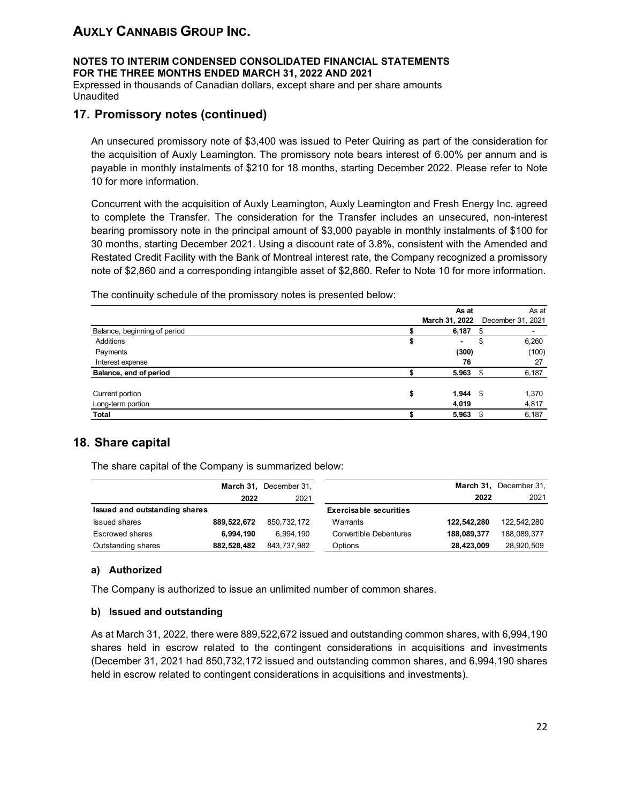**NOTES TO INTERIM CONDENSED CONSOLIDATED FINANCIAL STATEMENTS FOR THE THREE MONTHS ENDED MARCH 31, 2022 AND 2021**

Expressed in thousands of Canadian dollars, except share and per share amounts Unaudited

## **17. Promissory notes (continued)**

An unsecured promissory note of \$3,400 was issued to Peter Quiring as part of the consideration for the acquisition of Auxly Leamington. The promissory note bears interest of 6.00% per annum and is payable in monthly instalments of \$210 for 18 months, starting December 2022. Please refer to Note 10 for more information.

Concurrent with the acquisition of Auxly Leamington, Auxly Leamington and Fresh Energy Inc. agreed to complete the Transfer. The consideration for the Transfer includes an unsecured, non-interest bearing promissory note in the principal amount of \$3,000 payable in monthly instalments of \$100 for 30 months, starting December 2021. Using a discount rate of 3.8%, consistent with the Amended and Restated Credit Facility with the Bank of Montreal interest rate, the Company recognized a promissory note of \$2,860 and a corresponding intangible asset of \$2,860. Refer to Note 10 for more information.

The continuity schedule of the promissory notes is presented below:

| As at       | As at                                  |
|-------------|----------------------------------------|
|             | December 31, 2021                      |
| 6,187       | \$                                     |
| ۰           | \$<br>6,260                            |
| (300)       | (100)                                  |
| 76          | 27                                     |
| 5,963       | 6,187                                  |
| \$<br>1,944 | 1,370                                  |
| 4,019       | 4,817                                  |
| 5,963       | 6,187                                  |
|             | March 31, 2022<br>- \$<br>- \$<br>- \$ |

## **18. Share capital**

The share capital of the Company is summarized below:

|                               |             | March 31, December 31, |                               |             | March 31, December 31, |
|-------------------------------|-------------|------------------------|-------------------------------|-------------|------------------------|
|                               | 2022        | 2021                   |                               | 2022        | 2021                   |
| Issued and outstanding shares |             |                        | <b>Exercisable securities</b> |             |                        |
| <b>Issued shares</b>          | 889.522.672 | 850.732.172            | Warrants                      | 122.542.280 | 122,542,280            |
| <b>Escrowed shares</b>        | 6.994.190   | 6.994.190              | <b>Convertible Debentures</b> | 188,089,377 | 188,089,377            |
| Outstanding shares            | 882.528.482 | 843,737,982            | Options                       | 28,423,009  | 28,920,509             |

#### **a) Authorized**

The Company is authorized to issue an unlimited number of common shares.

#### **b) Issued and outstanding**

As at March 31, 2022, there were 889,522,672 issued and outstanding common shares, with 6,994,190 shares held in escrow related to the contingent considerations in acquisitions and investments (December 31, 2021 had 850,732,172 issued and outstanding common shares, and 6,994,190 shares held in escrow related to contingent considerations in acquisitions and investments).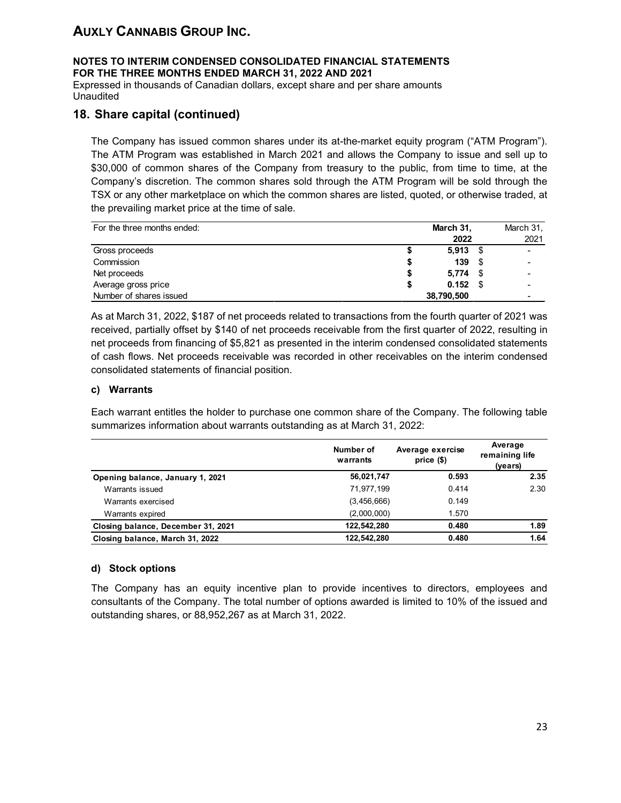### **NOTES TO INTERIM CONDENSED CONSOLIDATED FINANCIAL STATEMENTS FOR THE THREE MONTHS ENDED MARCH 31, 2022 AND 2021**

Expressed in thousands of Canadian dollars, except share and per share amounts Unaudited

## **18. Share capital (continued)**

The Company has issued common shares under its at-the-market equity program ("ATM Program"). The ATM Program was established in March 2021 and allows the Company to issue and sell up to \$30,000 of common shares of the Company from treasury to the public, from time to time, at the Company's discretion. The common shares sold through the ATM Program will be sold through the TSX or any other marketplace on which the common shares are listed, quoted, or otherwise traded, at the prevailing market price at the time of sale.

| For the three months ended: |   | March 31,  |     | March 31, |
|-----------------------------|---|------------|-----|-----------|
|                             |   | 2022       |     | 2021      |
| Gross proceeds              |   | 5,913      |     |           |
| Commission                  |   | 139        | \$. |           |
| Net proceeds                | S | 5.774      |     |           |
| Average gross price         | S | $0.152$ \$ |     |           |
| Number of shares issued     |   | 38,790,500 |     |           |

As at March 31, 2022, \$187 of net proceeds related to transactions from the fourth quarter of 2021 was received, partially offset by \$140 of net proceeds receivable from the first quarter of 2022, resulting in net proceeds from financing of \$5,821 as presented in the interim condensed consolidated statements of cash flows. Net proceeds receivable was recorded in other receivables on the interim condensed consolidated statements of financial position.

#### **c) Warrants**

Each warrant entitles the holder to purchase one common share of the Company. The following table summarizes information about warrants outstanding as at March 31, 2022:

|                                    | Number of<br>warrants | Average exercise<br>price $(§)$ | Average<br>remaining life<br>(years) |
|------------------------------------|-----------------------|---------------------------------|--------------------------------------|
| Opening balance, January 1, 2021   | 56,021,747            | 0.593                           | 2.35                                 |
| Warrants issued                    | 71,977,199            | 0.414                           | 2.30                                 |
| Warrants exercised                 | (3,456,666)           | 0.149                           |                                      |
| Warrants expired                   | (2,000,000)           | 1.570                           |                                      |
| Closing balance, December 31, 2021 | 122.542.280           | 0.480                           | 1.89                                 |
| Closing balance, March 31, 2022    | 122.542.280           | 0.480                           | 1.64                                 |

#### **d) Stock options**

The Company has an equity incentive plan to provide incentives to directors, employees and consultants of the Company. The total number of options awarded is limited to 10% of the issued and outstanding shares, or 88,952,267 as at March 31, 2022.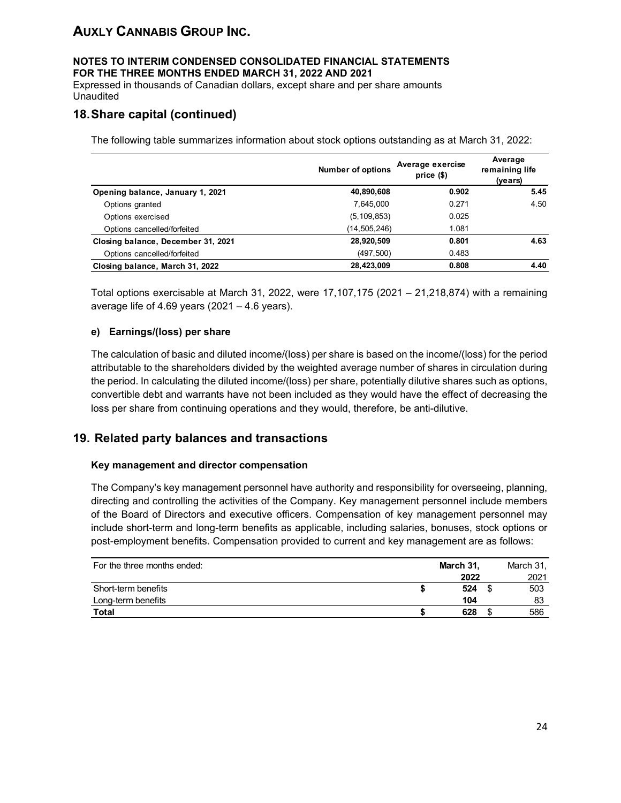#### **NOTES TO INTERIM CONDENSED CONSOLIDATED FINANCIAL STATEMENTS FOR THE THREE MONTHS ENDED MARCH 31, 2022 AND 2021**

Expressed in thousands of Canadian dollars, except share and per share amounts Unaudited

## **18.Share capital (continued)**

The following table summarizes information about stock options outstanding as at March 31, 2022:

|                                    | <b>Number of options</b> | Average exercise<br>$price($)$ | Average<br>remaining life<br>(years) |
|------------------------------------|--------------------------|--------------------------------|--------------------------------------|
| Opening balance, January 1, 2021   | 40,890,608               | 0.902                          | 5.45                                 |
| Options granted                    | 7.645.000                | 0.271                          | 4.50                                 |
| Options exercised                  | (5, 109, 853)            | 0.025                          |                                      |
| Options cancelled/forfeited        | (14,505,246)             | 1.081                          |                                      |
| Closing balance, December 31, 2021 | 28,920,509               | 0.801                          | 4.63                                 |
| Options cancelled/forfeited        | (497, 500)               | 0.483                          |                                      |
| Closing balance, March 31, 2022    | 28,423,009               | 0.808                          | 4.40                                 |

Total options exercisable at March 31, 2022, were 17,107,175 (2021 – 21,218,874) with a remaining average life of 4.69 years (2021 – 4.6 years).

#### **e) Earnings/(loss) per share**

The calculation of basic and diluted income/(loss) per share is based on the income/(loss) for the period attributable to the shareholders divided by the weighted average number of shares in circulation during the period. In calculating the diluted income/(loss) per share, potentially dilutive shares such as options, convertible debt and warrants have not been included as they would have the effect of decreasing the loss per share from continuing operations and they would, therefore, be anti-dilutive.

### **19. Related party balances and transactions**

#### **Key management and director compensation**

The Company's key management personnel have authority and responsibility for overseeing, planning, directing and controlling the activities of the Company. Key management personnel include members of the Board of Directors and executive officers. Compensation of key management personnel may include short-term and long-term benefits as applicable, including salaries, bonuses, stock options or post-employment benefits. Compensation provided to current and key management are as follows:

| For the three months ended: | March 31, | March 31, |
|-----------------------------|-----------|-----------|
|                             | 2022      | 2021      |
| Short-term benefits         | 524       | 503       |
| Long-term benefits          | 104       | 83        |
| <b>Total</b>                | 628       | 586       |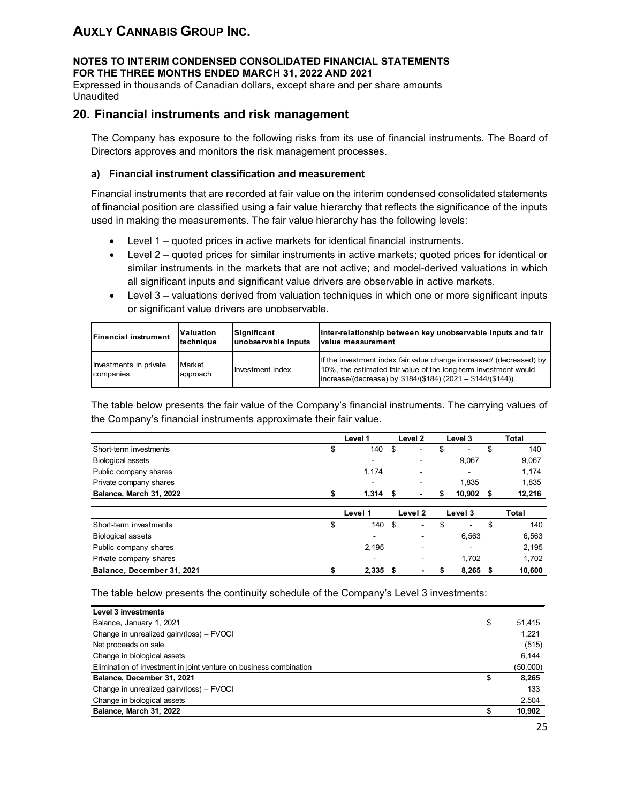#### **NOTES TO INTERIM CONDENSED CONSOLIDATED FINANCIAL STATEMENTS FOR THE THREE MONTHS ENDED MARCH 31, 2022 AND 2021**

Expressed in thousands of Canadian dollars, except share and per share amounts Unaudited

### **20. Financial instruments and risk management**

The Company has exposure to the following risks from its use of financial instruments. The Board of Directors approves and monitors the risk management processes.

#### **a) Financial instrument classification and measurement**

Financial instruments that are recorded at fair value on the interim condensed consolidated statements of financial position are classified using a fair value hierarchy that reflects the significance of the inputs used in making the measurements. The fair value hierarchy has the following levels:

- Level 1 quoted prices in active markets for identical financial instruments.
- Level 2 quoted prices for similar instruments in active markets; quoted prices for identical or similar instruments in the markets that are not active; and model-derived valuations in which all significant inputs and significant value drivers are observable in active markets.
- Level 3 valuations derived from valuation techniques in which one or more significant inputs or significant value drivers are unobservable.

| <b>Financial instrument</b>         | <b>Valuation</b>           | Significant         | Inter-relationship between key unobservable inputs and fair                                                                                                                                               |
|-------------------------------------|----------------------------|---------------------|-----------------------------------------------------------------------------------------------------------------------------------------------------------------------------------------------------------|
|                                     | Itechnique                 | unobservable inputs | <b>Ivalue measurement</b>                                                                                                                                                                                 |
| Investments in private<br>companies | <b>IMarket</b><br>approach | Investment index    | If the investment index fair value change increased/ (decreased) by<br>10%, the estimated fair value of the long-term investment would<br>$ increase/(decrease)$ by \$184/(\$184) (2021 - \$144/(\$144)). |

The table below presents the fair value of the Company's financial instruments. The carrying values of the Company's financial instruments approximate their fair value.

|                            | Level 1 |                          | Level <sub>2</sub> |                          | Level 3 |         |    | <b>Total</b> |
|----------------------------|---------|--------------------------|--------------------|--------------------------|---------|---------|----|--------------|
| Short-term investments     | \$      | 140                      | \$                 | -                        | \$      | -       | \$ | 140          |
| <b>Biological assets</b>   |         | $\overline{\phantom{a}}$ |                    | -                        |         | 9,067   |    | 9,067        |
| Public company shares      |         | 1,174                    |                    | -                        |         | -       |    | 1,174        |
| Private company shares     |         | -                        |                    | -                        |         | 1,835   |    | 1,835        |
| Balance, March 31, 2022    |         | 1,314                    | S                  | ۰                        |         | 10.902  | S  | 12,216       |
|                            |         | Level 1                  |                    | Level 2                  |         | Level 3 |    | Total        |
| Short-term investments     | \$      | 140                      | \$                 | ۰                        | \$      | ۰       | \$ | 140          |
| <b>Biological assets</b>   |         | -                        |                    | ۰                        |         | 6,563   |    | 6,563        |
| Public company shares      |         | 2,195                    |                    | $\overline{\phantom{a}}$ |         | ۰       |    | 2,195        |
| Private company shares     |         | $\,$                     |                    | $\,$                     |         | 1.702   |    | 1,702        |
| Balance, December 31, 2021 | \$      | 2,335                    | \$                 | $\overline{\phantom{0}}$ | S       | 8.265   | S  | 10.600       |

The table below presents the continuity schedule of the Company's Level 3 investments:

| Level 3 investments                                                |              |
|--------------------------------------------------------------------|--------------|
| Balance, January 1, 2021                                           | \$<br>51,415 |
| Change in unrealized gain/(loss) - FVOCI                           | 1.221        |
| Net proceeds on sale                                               | (515)        |
| Change in biological assets                                        | 6.144        |
| Elimination of investment in joint venture on business combination | (50,000)     |
| Balance, December 31, 2021                                         | \$<br>8,265  |
| Change in unrealized gain/(loss) - FVOCI                           | 133          |
| Change in biological assets                                        | 2,504        |
| Balance, March 31, 2022                                            | 10,902       |
|                                                                    |              |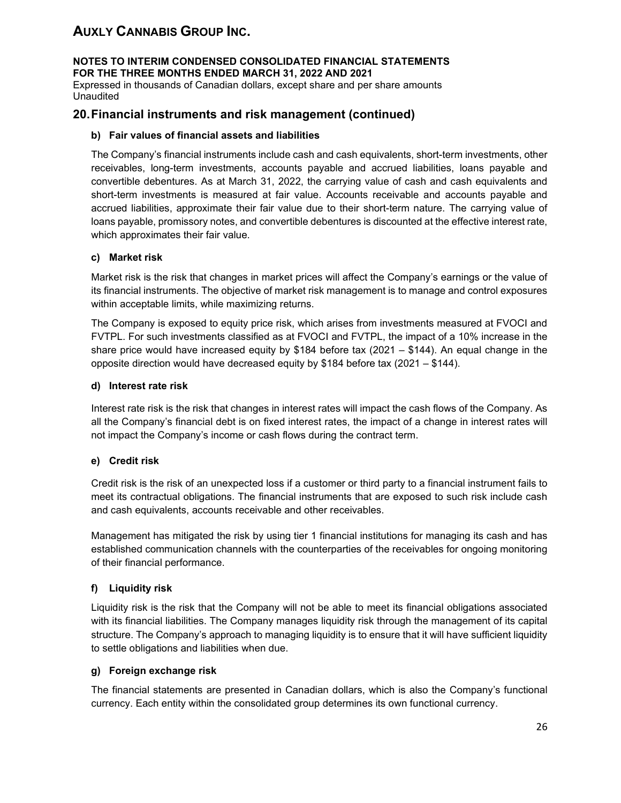#### **NOTES TO INTERIM CONDENSED CONSOLIDATED FINANCIAL STATEMENTS FOR THE THREE MONTHS ENDED MARCH 31, 2022 AND 2021**

Expressed in thousands of Canadian dollars, except share and per share amounts **Unaudited** 

### **20.Financial instruments and risk management (continued)**

#### **b) Fair values of financial assets and liabilities**

The Company's financial instruments include cash and cash equivalents, short-term investments, other receivables, long-term investments, accounts payable and accrued liabilities, loans payable and convertible debentures. As at March 31, 2022, the carrying value of cash and cash equivalents and short-term investments is measured at fair value. Accounts receivable and accounts payable and accrued liabilities, approximate their fair value due to their short-term nature. The carrying value of loans payable, promissory notes, and convertible debentures is discounted at the effective interest rate, which approximates their fair value.

#### **c) Market risk**

Market risk is the risk that changes in market prices will affect the Company's earnings or the value of its financial instruments. The objective of market risk management is to manage and control exposures within acceptable limits, while maximizing returns.

The Company is exposed to equity price risk, which arises from investments measured at FVOCI and FVTPL. For such investments classified as at FVOCI and FVTPL, the impact of a 10% increase in the share price would have increased equity by \$184 before tax (2021 – \$144). An equal change in the opposite direction would have decreased equity by \$184 before tax (2021 – \$144).

#### **d) Interest rate risk**

Interest rate risk is the risk that changes in interest rates will impact the cash flows of the Company. As all the Company's financial debt is on fixed interest rates, the impact of a change in interest rates will not impact the Company's income or cash flows during the contract term.

#### **e) Credit risk**

Credit risk is the risk of an unexpected loss if a customer or third party to a financial instrument fails to meet its contractual obligations. The financial instruments that are exposed to such risk include cash and cash equivalents, accounts receivable and other receivables.

Management has mitigated the risk by using tier 1 financial institutions for managing its cash and has established communication channels with the counterparties of the receivables for ongoing monitoring of their financial performance.

#### **f) Liquidity risk**

Liquidity risk is the risk that the Company will not be able to meet its financial obligations associated with its financial liabilities. The Company manages liquidity risk through the management of its capital structure. The Company's approach to managing liquidity is to ensure that it will have sufficient liquidity to settle obligations and liabilities when due.

### **g) Foreign exchange risk**

The financial statements are presented in Canadian dollars, which is also the Company's functional currency. Each entity within the consolidated group determines its own functional currency.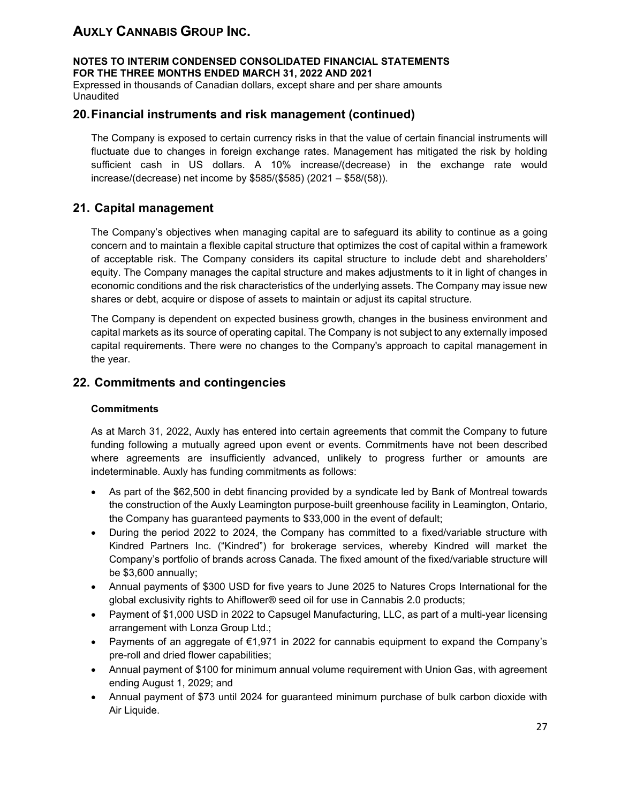**NOTES TO INTERIM CONDENSED CONSOLIDATED FINANCIAL STATEMENTS FOR THE THREE MONTHS ENDED MARCH 31, 2022 AND 2021**

Expressed in thousands of Canadian dollars, except share and per share amounts Unaudited

### **20.Financial instruments and risk management (continued)**

The Company is exposed to certain currency risks in that the value of certain financial instruments will fluctuate due to changes in foreign exchange rates. Management has mitigated the risk by holding sufficient cash in US dollars. A 10% increase/(decrease) in the exchange rate would increase/(decrease) net income by \$585/(\$585) (2021 – \$58/(58)).

## **21. Capital management**

The Company's objectives when managing capital are to safeguard its ability to continue as a going concern and to maintain a flexible capital structure that optimizes the cost of capital within a framework of acceptable risk. The Company considers its capital structure to include debt and shareholders' equity. The Company manages the capital structure and makes adjustments to it in light of changes in economic conditions and the risk characteristics of the underlying assets. The Company may issue new shares or debt, acquire or dispose of assets to maintain or adjust its capital structure.

The Company is dependent on expected business growth, changes in the business environment and capital markets as its source of operating capital. The Company is not subject to any externally imposed capital requirements. There were no changes to the Company's approach to capital management in the year.

## **22. Commitments and contingencies**

#### **Commitments**

As at March 31, 2022, Auxly has entered into certain agreements that commit the Company to future funding following a mutually agreed upon event or events. Commitments have not been described where agreements are insufficiently advanced, unlikely to progress further or amounts are indeterminable. Auxly has funding commitments as follows:

- As part of the \$62,500 in debt financing provided by a syndicate led by Bank of Montreal towards the construction of the Auxly Leamington purpose-built greenhouse facility in Leamington, Ontario, the Company has guaranteed payments to \$33,000 in the event of default;
- During the period 2022 to 2024, the Company has committed to a fixed/variable structure with Kindred Partners Inc. ("Kindred") for brokerage services, whereby Kindred will market the Company's portfolio of brands across Canada. The fixed amount of the fixed/variable structure will be \$3,600 annually;
- Annual payments of \$300 USD for five years to June 2025 to Natures Crops International for the global exclusivity rights to Ahiflower® seed oil for use in Cannabis 2.0 products;
- Payment of \$1,000 USD in 2022 to Capsugel Manufacturing, LLC, as part of a multi-year licensing arrangement with Lonza Group Ltd.;
- Payments of an aggregate of €1,971 in 2022 for cannabis equipment to expand the Company's pre-roll and dried flower capabilities;
- Annual payment of \$100 for minimum annual volume requirement with Union Gas, with agreement ending August 1, 2029; and
- Annual payment of \$73 until 2024 for guaranteed minimum purchase of bulk carbon dioxide with Air Liquide.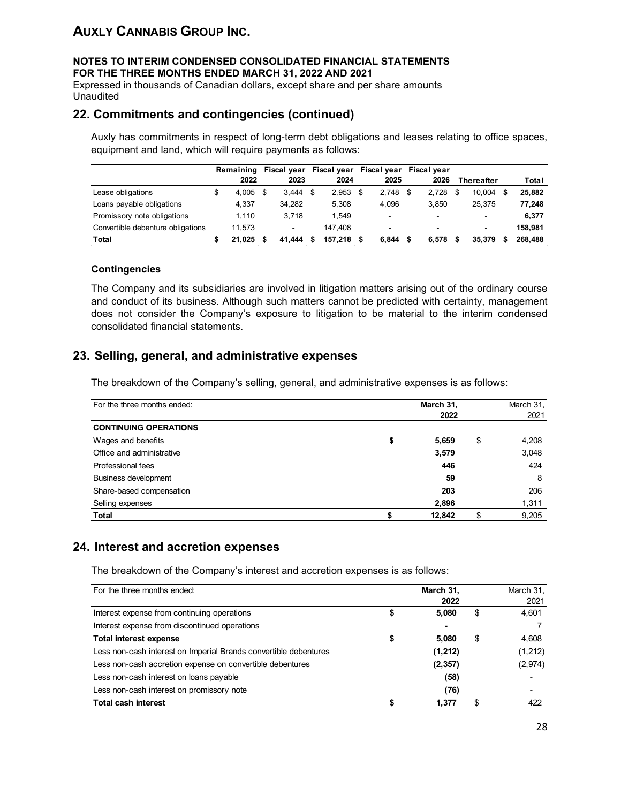#### **NOTES TO INTERIM CONDENSED CONSOLIDATED FINANCIAL STATEMENTS FOR THE THREE MONTHS ENDED MARCH 31, 2022 AND 2021**

Expressed in thousands of Canadian dollars, except share and per share amounts Unaudited

### **22. Commitments and contingencies (continued)**

Auxly has commitments in respect of long-term debt obligations and leases relating to office spaces, equipment and land, which will require payments as follows:

|                                   | Remaining   |     | Fiscal year              |             | Fiscal year Fiscal year | <b>Fiscal vear</b>       |     |                          |         |
|-----------------------------------|-------------|-----|--------------------------|-------------|-------------------------|--------------------------|-----|--------------------------|---------|
|                                   | 2022        |     | 2023                     | 2024        | 2025                    | 2026                     |     | <b>Thereafter</b>        | Total   |
| Lease obligations                 | \$<br>4.005 | \$. | 3.444                    | \$<br>2,953 | \$<br>$2.748$ \$        | 2.728                    | -\$ | 10.004                   | 25.882  |
| Loans payable obligations         | 4.337       |     | 34.282                   | 5.308       | 4.096                   | 3.850                    |     | 25.375                   | 77.248  |
| Promissory note obligations       | 1.110       |     | 3.718                    | 1.549       | ۰                       | -                        |     | $\overline{\phantom{a}}$ | 6,377   |
| Convertible debenture obligations | 11.573      |     | $\overline{\phantom{0}}$ | 147.408     | -                       | $\overline{\phantom{0}}$ |     | $\blacksquare$           | 158.981 |
| Total                             | 21.025      |     | 41.444                   | 157.218     | 6.844                   | 6.578                    |     | 35.379                   | 268,488 |

#### **Contingencies**

The Company and its subsidiaries are involved in litigation matters arising out of the ordinary course and conduct of its business. Although such matters cannot be predicted with certainty, management does not consider the Company's exposure to litigation to be material to the interim condensed consolidated financial statements.

## **23. Selling, general, and administrative expenses**

The breakdown of the Company's selling, general, and administrative expenses is as follows:

| For the three months ended:  |    | March 31, |    |       |
|------------------------------|----|-----------|----|-------|
|                              |    | 2022      |    | 2021  |
| <b>CONTINUING OPERATIONS</b> |    |           |    |       |
| Wages and benefits           | \$ | 5,659     | \$ | 4,208 |
| Office and administrative    |    | 3,579     |    | 3,048 |
| Professional fees            |    | 446       |    | 424   |
| Business development         |    | 59        |    | 8     |
| Share-based compensation     |    | 203       |    | 206   |
| Selling expenses             |    | 2,896     |    | 1,311 |
| <b>Total</b>                 |    | 12,842    |    | 9,205 |

## **24. Interest and accretion expenses**

The breakdown of the Company's interest and accretion expenses is as follows:

| For the three months ended:                                      | March 31, |    | March 31, |
|------------------------------------------------------------------|-----------|----|-----------|
|                                                                  | 2022      |    | 2021      |
| Interest expense from continuing operations                      | 5,080     | S  | 4,601     |
| Interest expense from discontinued operations                    | ۰         |    |           |
| <b>Total interest expense</b>                                    | 5.080     | \$ | 4,608     |
| Less non-cash interest on Imperial Brands convertible debentures | (1,212)   |    | (1, 212)  |
| Less non-cash accretion expense on convertible debentures        | (2, 357)  |    | (2, 974)  |
| Less non-cash interest on loans payable                          | (58)      |    |           |
| Less non-cash interest on promissory note                        | (76)      |    |           |
| <b>Total cash interest</b>                                       | 1.377     |    | 422       |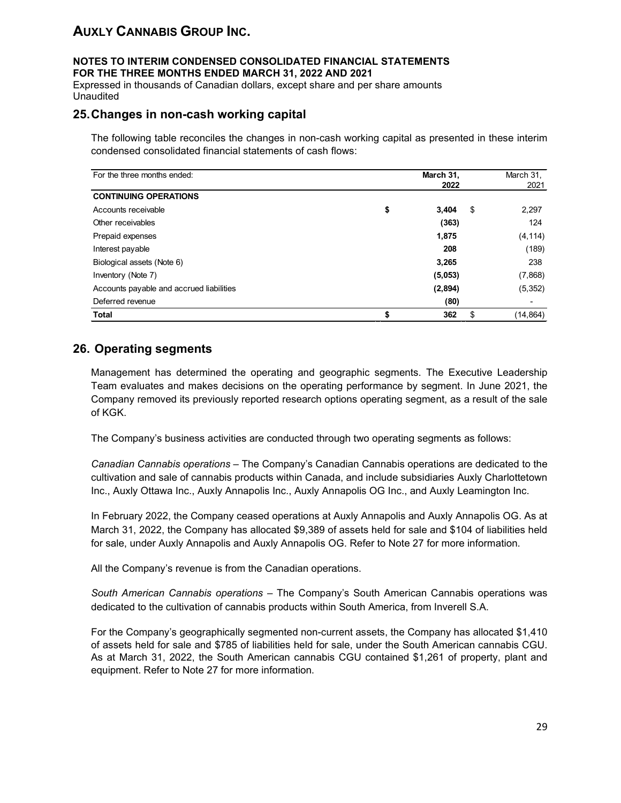#### **NOTES TO INTERIM CONDENSED CONSOLIDATED FINANCIAL STATEMENTS FOR THE THREE MONTHS ENDED MARCH 31, 2022 AND 2021**

Expressed in thousands of Canadian dollars, except share and per share amounts Unaudited

### **25.Changes in non-cash working capital**

The following table reconciles the changes in non-cash working capital as presented in these interim condensed consolidated financial statements of cash flows:

| For the three months ended:              | March 31,         | March 31, |
|------------------------------------------|-------------------|-----------|
|                                          | 2022              | 2021      |
| <b>CONTINUING OPERATIONS</b>             |                   |           |
| Accounts receivable                      | \$<br>\$<br>3,404 | 2,297     |
| Other receivables                        | (363)             | 124       |
| Prepaid expenses                         | 1,875             | (4, 114)  |
| Interest payable                         | 208               | (189)     |
| Biological assets (Note 6)               | 3,265             | 238       |
| Inventory (Note 7)                       | (5,053)           | (7,868)   |
| Accounts payable and accrued liabilities | (2,894)           | (5, 352)  |
| Deferred revenue                         | (80)              |           |
| <b>Total</b>                             | \$<br>\$<br>362   | (14, 864) |

## **26. Operating segments**

Management has determined the operating and geographic segments. The Executive Leadership Team evaluates and makes decisions on the operating performance by segment. In June 2021, the Company removed its previously reported research options operating segment, as a result of the sale of KGK.

The Company's business activities are conducted through two operating segments as follows:

*Canadian Cannabis operations* – The Company's Canadian Cannabis operations are dedicated to the cultivation and sale of cannabis products within Canada, and include subsidiaries Auxly Charlottetown Inc., Auxly Ottawa Inc., Auxly Annapolis Inc., Auxly Annapolis OG Inc., and Auxly Leamington Inc.

In February 2022, the Company ceased operations at Auxly Annapolis and Auxly Annapolis OG. As at March 31, 2022, the Company has allocated \$9,389 of assets held for sale and \$104 of liabilities held for sale, under Auxly Annapolis and Auxly Annapolis OG. Refer to Note 27 for more information.

All the Company's revenue is from the Canadian operations.

*South American Cannabis operations* – The Company's South American Cannabis operations was dedicated to the cultivation of cannabis products within South America, from Inverell S.A.

For the Company's geographically segmented non-current assets, the Company has allocated \$1,410 of assets held for sale and \$785 of liabilities held for sale, under the South American cannabis CGU. As at March 31, 2022, the South American cannabis CGU contained \$1,261 of property, plant and equipment. Refer to Note 27 for more information.